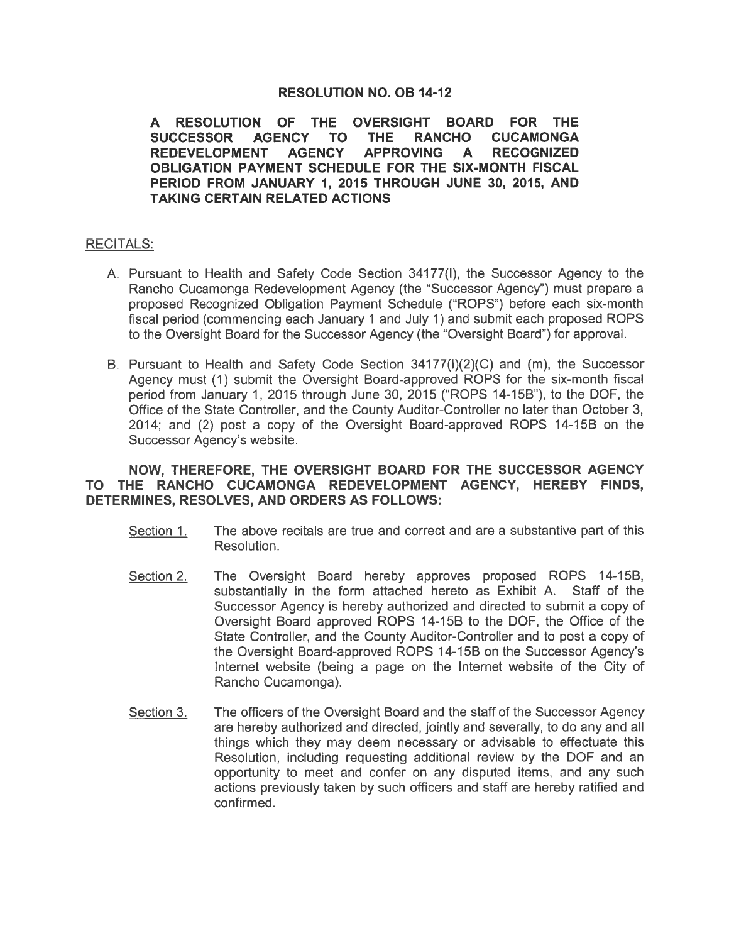# **RESOLUTION NO. OB 14-12**

A RESOLUTION OF THE OVERSIGHT BOARD FOR THE **SUCCESSOR AGENCY THE RANCHO CUCAMONGA TO AGENCY APPROVING REDEVELOPMENT** A **RECOGNIZED** OBLIGATION PAYMENT SCHEDULE FOR THE SIX-MONTH FISCAL PERIOD FROM JANUARY 1, 2015 THROUGH JUNE 30, 2015, AND **TAKING CERTAIN RELATED ACTIONS** 

## **RECITALS:**

- A. Pursuant to Health and Safety Code Section 34177(I), the Successor Agency to the Rancho Cucamonga Redevelopment Agency (the "Successor Agency") must prepare a proposed Recognized Obligation Payment Schedule ("ROPS") before each six-month fiscal period (commencing each January 1 and July 1) and submit each proposed ROPS to the Oversight Board for the Successor Agency (the "Oversight Board") for approval.
- B. Pursuant to Health and Safety Code Section 34177(I)(2)(C) and (m), the Successor Agency must (1) submit the Oversight Board-approved ROPS for the six-month fiscal period from January 1, 2015 through June 30, 2015 ("ROPS 14-15B"), to the DOF, the Office of the State Controller, and the County Auditor-Controller no later than October 3, 2014; and (2) post a copy of the Oversight Board-approved ROPS 14-15B on the Successor Agency's website.

## NOW, THEREFORE, THE OVERSIGHT BOARD FOR THE SUCCESSOR AGENCY TO THE RANCHO CUCAMONGA REDEVELOPMENT AGENCY, HEREBY FINDS, DETERMINES, RESOLVES, AND ORDERS AS FOLLOWS:

- Section 1. The above recitals are true and correct and are a substantive part of this Resolution.
- Section 2. The Oversight Board hereby approves proposed ROPS 14-15B, substantially in the form attached hereto as Exhibit A. Staff of the Successor Agency is hereby authorized and directed to submit a copy of Oversight Board approved ROPS 14-15B to the DOF, the Office of the State Controller, and the County Auditor-Controller and to post a copy of the Oversight Board-approved ROPS 14-15B on the Successor Agency's Internet website (being a page on the Internet website of the City of Rancho Cucamonga).
- Section 3. The officers of the Oversight Board and the staff of the Successor Agency are hereby authorized and directed, jointly and severally, to do any and all things which they may deem necessary or advisable to effectuate this Resolution, including requesting additional review by the DOF and an opportunity to meet and confer on any disputed items, and any such actions previously taken by such officers and staff are hereby ratified and confirmed.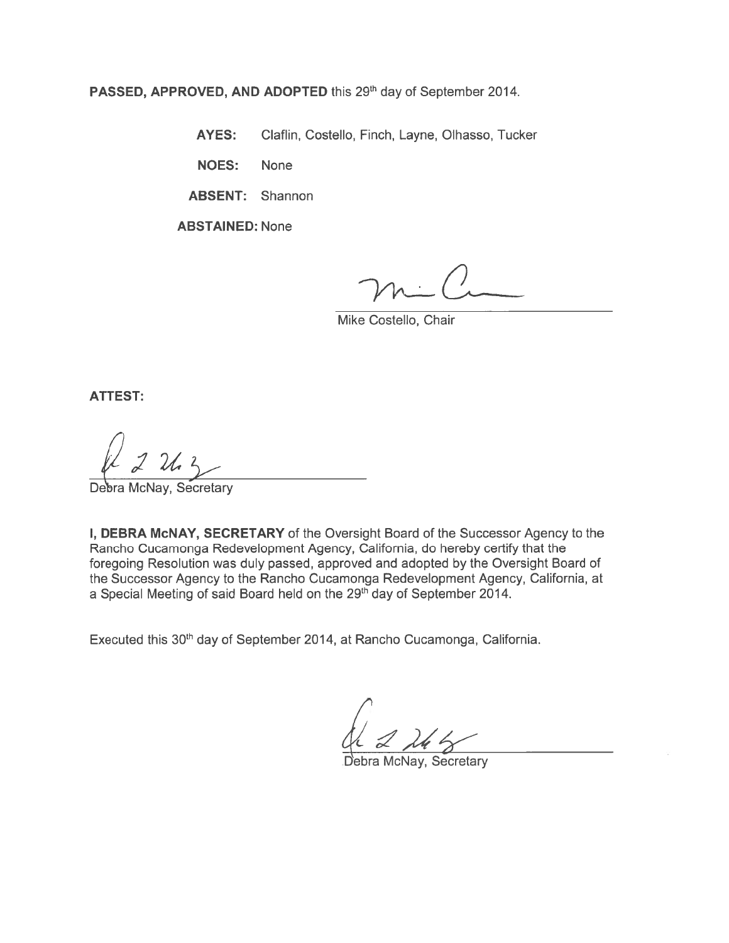PASSED, APPROVED, AND ADOPTED this 29th day of September 2014.

**AYES:** Claflin, Costello, Finch, Layne, Olhasso, Tucker

**NOES: None** 

**ABSENT: Shannon** 

**ABSTAINED: None** 

Mike Costello, Chair

**ATTEST:** 

McNay, Secretary

I, DEBRA McNAY, SECRETARY of the Oversight Board of the Successor Agency to the Rancho Cucamonga Redevelopment Agency, California, do hereby certify that the foregoing Resolution was duly passed, approved and adopted by the Oversight Board of the Successor Agency to the Rancho Cucamonga Redevelopment Agency, California, at a Special Meeting of said Board held on the 29<sup>th</sup> day of September 2014.

Executed this 30<sup>th</sup> day of September 2014, at Rancho Cucamonga, California.

ebra McNay, Secretary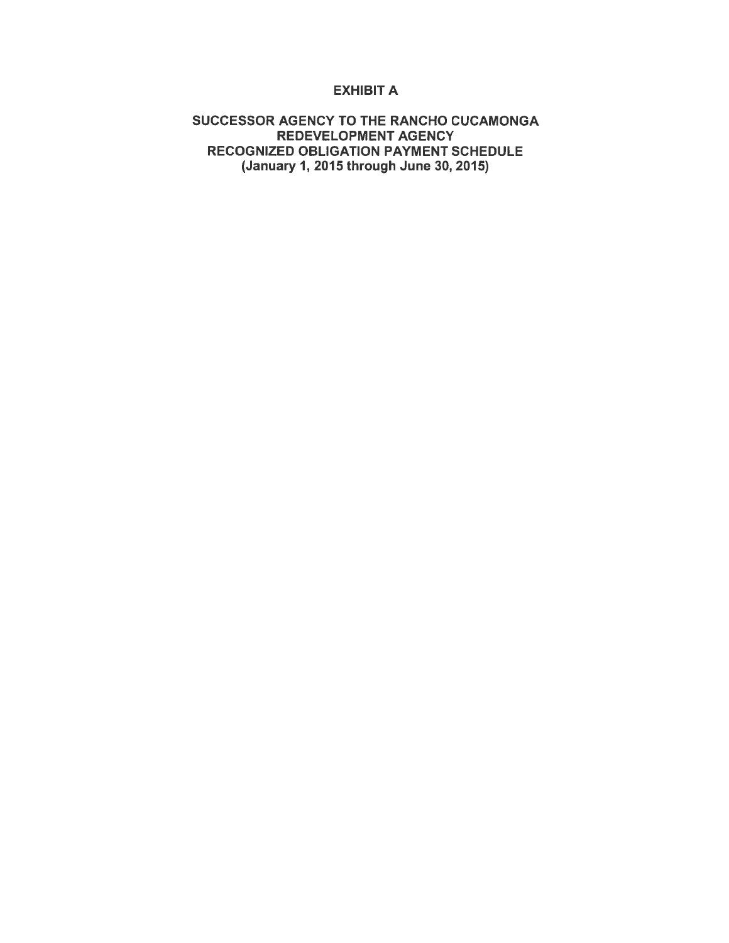## **EXHIBIT A**

## SUCCESSOR AGENCY TO THE RANCHO CUCAMONGA REDEVELOPMENT AGENCY RECOGNIZED OBLIGATION PAYMENT SCHEDULE (January 1, 2015 through June 30, 2015)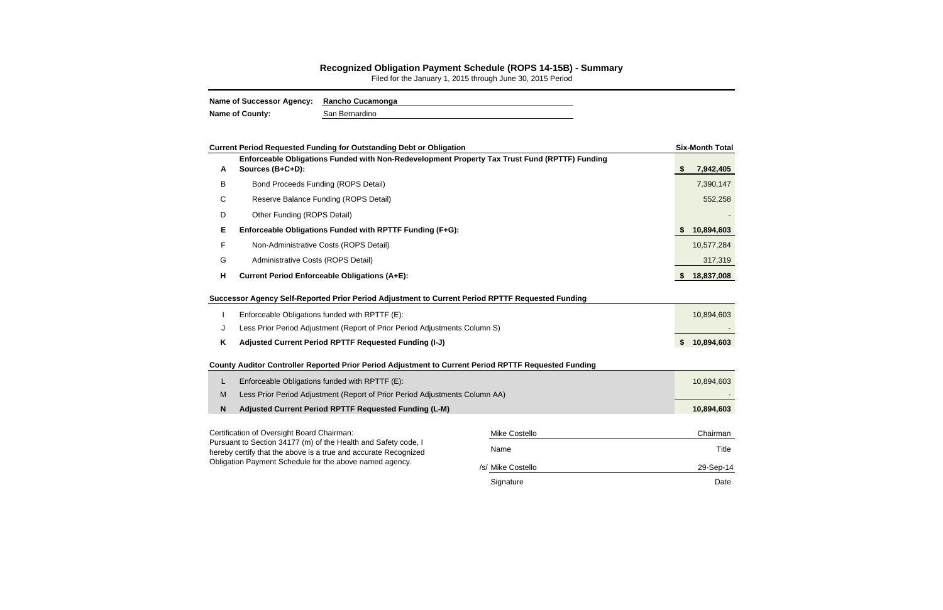## **Recognized Obligation Payment Schedule (ROPS 14-15B) - Summary**

Filed for the January 1, 2015 through June 30, 2015 Period

| <b>Name of Successor Agency:</b> | <b>Rancho Cucamonga</b> |
|----------------------------------|-------------------------|
| <b>Name of County:</b>           | San Bernardino          |

|   | <b>Current Period Requested Funding for Outstanding Debt or Obligation</b>                                                 |  | <b>Six-Month Total</b> |                  |
|---|----------------------------------------------------------------------------------------------------------------------------|--|------------------------|------------------|
| A | Enforceable Obligations Funded with Non-Redevelopment Property Tax Trust Fund (RPTTF) Funding<br>Sources (B+C+D):          |  |                        | \$<br>7,942,405  |
| B | <b>Bond Proceeds Funding (ROPS Detail)</b>                                                                                 |  |                        | 7,390,147        |
| C | Reserve Balance Funding (ROPS Detail)                                                                                      |  |                        | 552,258          |
| D | Other Funding (ROPS Detail)                                                                                                |  |                        |                  |
| Е | Enforceable Obligations Funded with RPTTF Funding (F+G):                                                                   |  |                        | 10,894,603       |
| F | Non-Administrative Costs (ROPS Detail)                                                                                     |  |                        | 10,577,284       |
| G | Administrative Costs (ROPS Detail)                                                                                         |  |                        | 317,319          |
| H | <b>Current Period Enforceable Obligations (A+E):</b>                                                                       |  |                        | 18,837,008       |
|   | Successor Agency Self-Reported Prior Period Adjustment to Current Period RPTTF Requested Funding                           |  |                        |                  |
|   | Enforceable Obligations funded with RPTTF (E):                                                                             |  |                        | 10,894,603       |
| J | Less Prior Period Adjustment (Report of Prior Period Adjustments Column S)                                                 |  |                        |                  |
| K | Adjusted Current Period RPTTF Requested Funding (I-J)                                                                      |  |                        | \$<br>10,894,603 |
|   | County Auditor Controller Reported Prior Period Adjustment to Current Period RPTTF Requested Funding                       |  |                        |                  |
| L | Enforceable Obligations funded with RPTTF (E):                                                                             |  |                        | 10,894,603       |
| M | Less Prior Period Adjustment (Report of Prior Period Adjustments Column AA)                                                |  |                        |                  |
| N | Adjusted Current Period RPTTF Requested Funding (L-M)                                                                      |  |                        | 10,894,603       |
|   | Certification of Oversight Board Chairman:                                                                                 |  | <b>Mike Costello</b>   | Chairman         |
|   | Pursuant to Section 34177 (m) of the Health and Safety code, I                                                             |  |                        |                  |
|   | hereby certify that the above is a true and accurate Recognized<br>Obligation Payment Schedule for the above named agency. |  | Name                   | Title            |
|   |                                                                                                                            |  | /s/ Mike Costello      | 29-Sep-14        |
|   |                                                                                                                            |  | Signature              | Date             |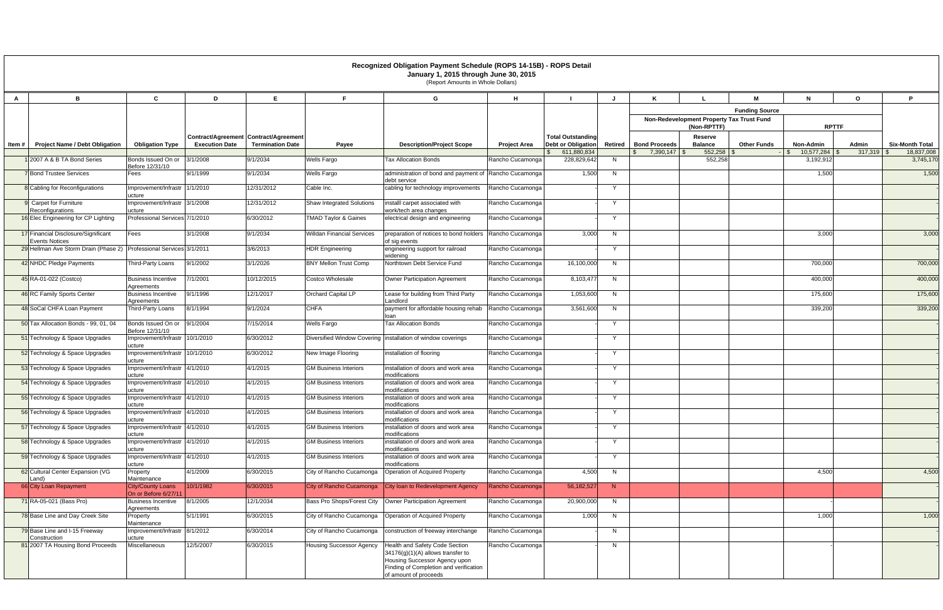|              |                                                                                              |                                                  |                       |                                         |                                   | Recognized Obligation Payment Schedule (ROPS 14-15B) - ROPS Detail<br>January 1, 2015 through June 30, 2015<br>(Report Amounts in Whole Dollars)                        |                     |                                          |              |                                           |                                |                       |                                      |                       |                                      |
|--------------|----------------------------------------------------------------------------------------------|--------------------------------------------------|-----------------------|-----------------------------------------|-----------------------------------|-------------------------------------------------------------------------------------------------------------------------------------------------------------------------|---------------------|------------------------------------------|--------------|-------------------------------------------|--------------------------------|-----------------------|--------------------------------------|-----------------------|--------------------------------------|
| $\mathsf{A}$ | B                                                                                            | C                                                | D                     | E.                                      | F.                                | G                                                                                                                                                                       | н                   |                                          | J            | K                                         |                                | м                     | N                                    | $\mathbf{o}$          | P                                    |
|              |                                                                                              |                                                  |                       |                                         |                                   |                                                                                                                                                                         |                     |                                          |              |                                           |                                | <b>Funding Source</b> |                                      |                       |                                      |
|              |                                                                                              |                                                  |                       |                                         |                                   |                                                                                                                                                                         |                     |                                          |              | Non-Redevelopment Property Tax Trust Fund |                                | <b>RPTTF</b>          |                                      |                       |                                      |
|              |                                                                                              |                                                  |                       | Contract/Agreement   Contract/Agreement |                                   |                                                                                                                                                                         |                     | <b>Total Outstanding</b>                 |              |                                           | (Non-RPTTF)<br>Reserve         |                       |                                      |                       |                                      |
| Item $#$     | <b>Project Name / Debt Obligation</b>                                                        | <b>Obligation Type</b>                           | <b>Execution Date</b> | <b>Termination Date</b>                 | Payee                             | <b>Description/Project Scope</b>                                                                                                                                        | <b>Project Area</b> | <b>Debt or Obligation</b><br>611,880,834 |              | Retired   Bond Proceeds<br>7,390,147      | <b>Balance</b><br>$552,258$ \$ | <b>Other Funds</b>    | Non-Admin<br>$10,577,284$ \$<br>l Si | Admin<br>$317,319$ \$ | <b>Six-Month Total</b><br>18,837,008 |
|              | 12007 A & B TA Bond Series                                                                   | Bonds Issued On or<br>Before 12/31/10            | 3/1/2008              | 9/1/2034                                | <b>Wells Fargo</b>                | Tax Allocation Bonds                                                                                                                                                    | Rancho Cucamonga    | 228,829,642                              | N            |                                           | 552,258                        |                       | 3,192,912                            |                       | 3,745,170                            |
|              | <b>7</b> Bond Trustee Services                                                               | Fees                                             | 9/1/1999              | 9/1/2034                                | <b>Wells Fargo</b>                | administration of bond and payment of Rancho Cucamonga<br>debt service                                                                                                  |                     | 1,500                                    | N            |                                           |                                |                       | 1,500                                |                       | 1,500                                |
|              | 8 Cabling for Reconfigurations                                                               | Improvement/Infrastr 1/1/2010<br>ucture          |                       | 12/31/2012                              | Cable Inc.                        | cabling for technology improvements                                                                                                                                     | Rancho Cucamonga    |                                          | Y            |                                           |                                |                       |                                      |                       |                                      |
|              | 9 Carpet for Furniture<br>Reconfigurations                                                   | Improvement/Infrastr 3/1/2008<br>ucture          |                       | 12/31/2012                              | <b>Shaw Integrated Solutions</b>  | installl carpet associated with<br>work/tech area changes                                                                                                               | Rancho Cucamonga    |                                          | Y            |                                           |                                |                       |                                      |                       |                                      |
|              | 16 Elec Engineering for CP Lighting                                                          | Professional Services 7/1/2010                   |                       | 6/30/2012                               | <b>TMAD Taylor &amp; Gaines</b>   | electrical design and engineering                                                                                                                                       | Rancho Cucamonga    |                                          | Y            |                                           |                                |                       |                                      |                       |                                      |
|              | 17 Financial Disclosure/Significant                                                          | Fees                                             | 3/1/2008              | 9/1/2034                                | <b>Willdan Financial Services</b> | preparation of notices to bond holders                                                                                                                                  | Rancho Cucamonga    | 3,000                                    | N            |                                           |                                |                       | 3,000                                |                       | 3,000                                |
|              | <b>Events Notices</b><br>29 Hellman Ave Storm Drain (Phase 2) Professional Services 3/1/2011 |                                                  |                       | 3/6/2013                                | <b>HDR</b> Engineering            | of sig events<br>engineering support for railroad                                                                                                                       | Rancho Cucamonga    |                                          | $\mathsf{Y}$ |                                           |                                |                       |                                      |                       |                                      |
|              | 42 NHDC Pledge Payments                                                                      | Third-Party Loans                                | 9/1/2002              | 3/1/2026                                | <b>BNY Mellon Trust Comp</b>      | widenina<br>Northtown Debt Service Fund                                                                                                                                 | Rancho Cucamonga    | 16,100,000                               | N            |                                           |                                |                       | 700,000                              |                       | 700,000                              |
|              | 45 RA-01-022 (Costco)                                                                        | <b>Business Incentive</b>                        | 7/1/2001              | 10/12/2015                              | Costco Wholesale                  | <b>Owner Participation Agreement</b>                                                                                                                                    | Rancho Cucamonga    | 8,103,477                                | N            |                                           |                                |                       | 400,000                              |                       | 400,000                              |
|              | 46 RC Family Sports Center                                                                   | Agreements<br><b>Business Incentive</b>          | 9/1/1996              | 12/1/2017                               | Orchard Capital LP                | Lease for building from Third Party                                                                                                                                     | Rancho Cucamonga    | 1,053,600                                | N            |                                           |                                |                       | 175,600                              |                       | 175,600                              |
|              |                                                                                              | Agreements                                       |                       |                                         |                                   | Landlord                                                                                                                                                                |                     |                                          |              |                                           |                                |                       |                                      |                       |                                      |
|              | 48 SoCal CHFA Loan Payment                                                                   | Third-Party Loans                                | 8/1/1994              | 9/1/2024                                | <b>CHFA</b>                       | payment for affordable housing rehab<br>loan                                                                                                                            | Rancho Cucamonga    | 3,561,600                                | N            |                                           |                                |                       | 339,200                              |                       | 339,200                              |
|              | 50 Tax Allocation Bonds - 99, 01, 04                                                         | Bonds Issued On or<br>Before 12/31/10            | 9/1/2004              | 7/15/2014                               | <b>Wells Fargo</b>                | <b>Tax Allocation Bonds</b>                                                                                                                                             | Rancho Cucamonga    |                                          | $\mathsf{Y}$ |                                           |                                |                       |                                      |                       |                                      |
|              | 51 Technology & Space Upgrades                                                               | Improvement/Infrastr 10/1/2010<br>ucture         |                       | 6/30/2012                               |                                   | Diversified Window Covering linstallation of window coverings                                                                                                           | Rancho Cucamonga    |                                          | Y            |                                           |                                |                       |                                      |                       |                                      |
|              | 52 Technology & Space Upgrades                                                               | Improvement/Infrastr 10/1/2010<br>ucture         |                       | 6/30/2012                               | New Image Flooring                | installation of flooring                                                                                                                                                | Rancho Cucamonga    |                                          | Y            |                                           |                                |                       |                                      |                       |                                      |
|              | 53 Technology & Space Upgrades                                                               | Improvement/Infrastr<br>ucture                   | 4/1/2010              | 4/1/2015                                | <b>GM Business Interiors</b>      | installation of doors and work area<br>modifications                                                                                                                    | Rancho Cucamonga    |                                          | Y            |                                           |                                |                       |                                      |                       |                                      |
|              | 54 Technology & Space Upgrades                                                               | Improvement/Infrastr 4/1/2010<br>ucture          |                       | 4/1/2015                                | <b>GM Business Interiors</b>      | installation of doors and work area<br>modifications                                                                                                                    | Rancho Cucamonga    |                                          | Y            |                                           |                                |                       |                                      |                       |                                      |
|              | 55 Technology & Space Upgrades                                                               | Improvement/Infrastr 4/1/2010<br>ucture          |                       | 4/1/2015                                | <b>GM Business Interiors</b>      | installation of doors and work area<br>modifications                                                                                                                    | Rancho Cucamonga    |                                          | Y            |                                           |                                |                       |                                      |                       |                                      |
|              | 56 Technology & Space Upgrades                                                               | Improvement/Infrastr 4/1/2010<br>ucture          |                       | 4/1/2015                                | <b>GM Business Interiors</b>      | installation of doors and work area<br>modifications                                                                                                                    | Rancho Cucamonga    |                                          | $\mathsf{Y}$ |                                           |                                |                       |                                      |                       |                                      |
|              | 57 Technology & Space Upgrades                                                               | Improvement/Infrastr 4/1/2010<br>ucture          |                       | 4/1/2015                                | <b>GM Business Interiors</b>      | installation of doors and work area<br>modifications                                                                                                                    | Rancho Cucamonga    |                                          | Y            |                                           |                                |                       |                                      |                       |                                      |
|              | 58 Technology & Space Upgrades                                                               | Improvement/Infrastr 4/1/2010<br>ucture          |                       | 4/1/2015                                | <b>GM Business Interiors</b>      | installation of doors and work area<br>modifications                                                                                                                    | Rancho Cucamonga    |                                          | Y            |                                           |                                |                       |                                      |                       |                                      |
|              | 59 Technology & Space Upgrades                                                               | Improvement/Infrastr 4/1/2010<br>ucture          |                       | 4/1/2015                                | <b>GM Business Interiors</b>      | installation of doors and work area<br>modifications                                                                                                                    | Rancho Cucamonga    |                                          | Y            |                                           |                                |                       |                                      |                       |                                      |
|              | 62 Cultural Center Expansion (VG<br>Land)                                                    | Property<br>Maintenance                          | 4/1/2009              | 6/30/2015                               | City of Rancho Cucamonga          | Operation of Acquired Property                                                                                                                                          | Rancho Cucamonga    | 4,500                                    | N            |                                           |                                |                       | 4,500                                |                       | 4,500                                |
|              | 66 City Loan Repayment                                                                       | <b>City/County Loans</b><br>On or Before 6/27/11 | 10/1/1982             | 6/30/2015                               | City of Rancho Cucamonga          | City loan to Redevelopment Agency                                                                                                                                       | Rancho Cucamonga    | 56, 182, 527                             | N            |                                           |                                |                       |                                      |                       |                                      |
|              | 71 RA-05-021 (Bass Pro)                                                                      | <b>Business Incentive</b><br>Agreements          | 8/1/2005              | 12/1/2034                               | Bass Pro Shops/Forest City        | Owner Participation Agreement                                                                                                                                           | Rancho Cucamonga    | 20,900,000                               | N            |                                           |                                |                       |                                      |                       |                                      |
|              | 78 Base Line and Day Creek Site                                                              | Property<br>Maintenance                          | 5/1/1991              | 6/30/2015                               | City of Rancho Cucamonga          | Operation of Acquired Property                                                                                                                                          | Rancho Cucamonga    | 1,000                                    | N            |                                           |                                |                       | 1,000                                |                       | 1,000                                |
|              | 79 Base Line and I-15 Freeway<br>Construction                                                | Improvement/Infrastr 8/1/2012<br>ucture          |                       | 6/30/2014                               | City of Rancho Cucamonga          | construction of freeway interchange                                                                                                                                     | Rancho Cucamonga    |                                          | N            |                                           |                                |                       |                                      |                       |                                      |
|              | 81 2007 TA Housing Bond Proceeds                                                             | Miscellaneous                                    | 12/5/2007             | 6/30/2015                               | <b>Housing Successor Agency</b>   | Health and Safety Code Section<br>34176(g)(1)(A) allows transfer to<br>Housing Successor Agency upon<br>Finding of Completion and verification<br>of amount of proceeds | Rancho Cucamonga    |                                          | N            |                                           |                                |                       |                                      |                       |                                      |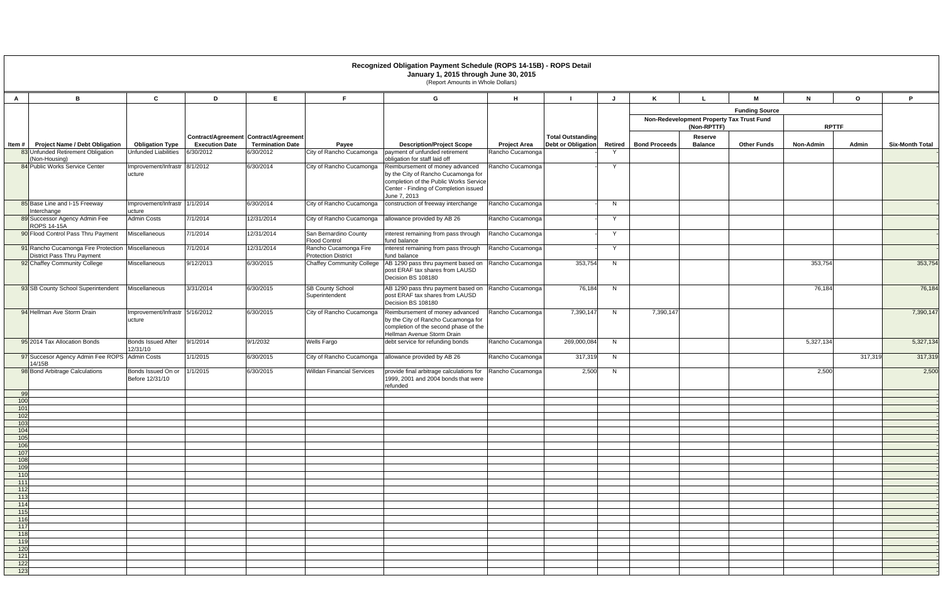|              |                                                                                 |                                                       |                                    |                                       |                                                     | Recognized Obligation Payment Schedule (ROPS 14-15B) - ROPS Detail<br>January 1, 2015 through June 30, 2015<br>(Report Amounts in Whole Dollars)                          |                                         |                           |              |                         |                                                          |                       |              |              |                        |
|--------------|---------------------------------------------------------------------------------|-------------------------------------------------------|------------------------------------|---------------------------------------|-----------------------------------------------------|---------------------------------------------------------------------------------------------------------------------------------------------------------------------------|-----------------------------------------|---------------------------|--------------|-------------------------|----------------------------------------------------------|-----------------------|--------------|--------------|------------------------|
| $\mathsf{A}$ | B                                                                               | $\mathbf{c}$                                          | D                                  | E.                                    | F.                                                  | G                                                                                                                                                                         | H                                       |                           | $\mathbf{J}$ | K                       |                                                          | М                     | N            | $\mathbf{o}$ | P.                     |
|              |                                                                                 |                                                       |                                    |                                       |                                                     |                                                                                                                                                                           |                                         |                           |              |                         |                                                          | <b>Funding Source</b> |              |              |                        |
|              |                                                                                 |                                                       |                                    |                                       |                                                     |                                                                                                                                                                           |                                         |                           |              |                         | Non-Redevelopment Property Tax Trust Fund<br>(Non-RPTTF) |                       | <b>RPTTF</b> |              |                        |
|              |                                                                                 |                                                       |                                    | Contract/Agreement Contract/Agreement |                                                     |                                                                                                                                                                           |                                         | <b>Total Outstanding</b>  |              |                         | Reserve                                                  |                       |              |              |                        |
| Item $#$     | <b>Project Name / Debt Obligation</b><br>83 Unfunded Retirement Obligation      | <b>Obligation Type</b><br><b>Unfunded Liabilities</b> | <b>Execution Date</b><br>6/30/2012 | <b>Termination Date</b><br>6/30/2012  | Payee<br>City of Rancho Cucamonga                   | <b>Description/Project Scope</b><br>payment of unfunded retirement                                                                                                        | <b>Project Area</b><br>Rancho Cucamonga | <b>Debt or Obligation</b> |              | Retired   Bond Proceeds | <b>Balance</b>                                           | <b>Other Funds</b>    | Non-Admin    | Admin        | <b>Six-Month Total</b> |
|              | (Non-Housing)                                                                   |                                                       |                                    |                                       |                                                     | obligation for staff laid off                                                                                                                                             |                                         |                           |              |                         |                                                          |                       |              |              |                        |
|              | 84 Public Works Service Center                                                  | Improvement/Infrastr<br>ucture                        | 8/1/2012                           | 6/30/2014                             | City of Rancho Cucamonga                            | Reimbursement of money advanced<br>by the City of Rancho Cucamonga for<br>completion of the Public Works Service<br>Center - Finding of Completion issued<br>June 7, 2013 | Rancho Cucamonga                        |                           | $\checkmark$ |                         |                                                          |                       |              |              |                        |
|              | 85 Base Line and I-15 Freeway<br>Interchange                                    | Improvement/Infrastr<br>ucture                        | 1/1/2014                           | 6/30/2014                             | City of Rancho Cucamonga                            | construction of freeway interchange                                                                                                                                       | Rancho Cucamonga                        |                           | N            |                         |                                                          |                       |              |              |                        |
|              | 89 Successor Agency Admin Fee<br>ROPS 14-15A                                    | Admin Costs                                           | 7/1/2014                           | 12/31/2014                            | City of Rancho Cucamonga                            | allowance provided by AB 26                                                                                                                                               | Rancho Cucamonga                        |                           | $\mathsf{Y}$ |                         |                                                          |                       |              |              |                        |
|              | 90 Flood Control Pass Thru Payment                                              | Miscellaneous                                         | 7/1/2014                           | 12/31/2014                            | San Bernardino County<br><b>Flood Control</b>       | interest remaining from pass through<br>fund balance                                                                                                                      | Rancho Cucamonga                        |                           | - Y          |                         |                                                          |                       |              |              |                        |
|              | 91 Rancho Cucamonga Fire Protection Miscellaneous<br>District Pass Thru Payment |                                                       | 7/1/2014                           | 12/31/2014                            | Rancho Cucamonga Fire<br><b>Protection District</b> | interest remaining from pass through<br>fund balance                                                                                                                      | Rancho Cucamonga                        |                           | Y            |                         |                                                          |                       |              |              |                        |
|              | 92 Chaffey Community College                                                    | Miscellaneous                                         | 9/12/2013                          | 6/30/2015                             |                                                     | Chaffey Community College   AB 1290 pass thru payment based on<br>post ERAF tax shares from LAUSD<br>Decision BS 108180                                                   | Rancho Cucamonga                        | 353,754                   | N            |                         |                                                          |                       | 353,754      |              | 353,754                |
|              | 93 SB County School Superintendent                                              | Miscellaneous                                         | 3/31/2014                          | 6/30/2015                             | <b>SB County School</b><br>Superintendent           | AB 1290 pass thru payment based on<br>post ERAF tax shares from LAUSD<br>Decision BS 108180                                                                               | Rancho Cucamonga                        | 76,184                    | N            |                         |                                                          |                       | 76,184       |              | 76,184                 |
|              | 94 Hellman Ave Storm Drain                                                      | Improvement/Infrastr 5/16/2012<br>ucture              |                                    | 6/30/2015                             | City of Rancho Cucamonga                            | Reimbursement of money advanced<br>by the City of Rancho Cucamonga for<br>completion of the second phase of the<br>Hellman Avenue Storm Drain                             | Rancho Cucamonga                        | 7,390,147                 | N            | 7,390,147               |                                                          |                       |              |              | 7,390,147              |
|              | 95 2014 Tax Allocation Bonds                                                    | <b>Bonds Issued After</b><br>12/31/10                 | 9/1/2014                           | 9/1/2032                              | <b>Wells Fargo</b>                                  | debt service for refunding bonds                                                                                                                                          | Rancho Cucamonga                        | 269,000,084               | N            |                         |                                                          |                       | 5,327,134    |              | 5,327,134              |
|              | 97 Succesor Agency Admin Fee ROPS Admin Costs<br>14/15B                         |                                                       | 1/1/2015                           | 6/30/2015                             | City of Rancho Cucamonga                            | allowance provided by AB 26                                                                                                                                               | Rancho Cucamonga                        | 317,319                   | N            |                         |                                                          |                       |              | 317,319      | 317,319                |
|              | 98 Bond Arbitrage Calculations                                                  | Bonds Issued On or<br>Before 12/31/10                 | 1/1/2015                           | 6/30/2015                             | <b>Willdan Financial Services</b>                   | provide final arbitrage calculations for<br>1999, 2001 and 2004 bonds that were<br>refunded                                                                               | Rancho Cucamonga                        | 2,500                     | N            |                         |                                                          |                       | 2,500        |              | 2,500                  |
| 99           |                                                                                 |                                                       |                                    |                                       |                                                     |                                                                                                                                                                           |                                         |                           |              |                         |                                                          |                       |              |              |                        |
| 100<br>101   |                                                                                 |                                                       |                                    |                                       |                                                     |                                                                                                                                                                           |                                         |                           |              |                         |                                                          |                       |              |              |                        |
| 102<br>103   |                                                                                 |                                                       |                                    |                                       |                                                     |                                                                                                                                                                           |                                         |                           |              |                         |                                                          |                       |              |              |                        |
| 104          |                                                                                 |                                                       |                                    |                                       |                                                     |                                                                                                                                                                           |                                         |                           |              |                         |                                                          |                       |              |              |                        |
| 105<br>106   |                                                                                 |                                                       |                                    |                                       |                                                     |                                                                                                                                                                           |                                         |                           |              |                         |                                                          |                       |              |              |                        |
| 107<br>108   |                                                                                 |                                                       |                                    |                                       |                                                     |                                                                                                                                                                           |                                         |                           |              |                         |                                                          |                       |              |              |                        |
| 109          |                                                                                 |                                                       |                                    |                                       |                                                     |                                                                                                                                                                           |                                         |                           |              |                         |                                                          |                       |              |              |                        |
| 110<br>111   |                                                                                 |                                                       |                                    |                                       |                                                     |                                                                                                                                                                           |                                         |                           |              |                         |                                                          |                       |              |              |                        |
| $112$        |                                                                                 |                                                       |                                    |                                       |                                                     |                                                                                                                                                                           |                                         |                           |              |                         |                                                          |                       |              |              |                        |
| 113<br>114   |                                                                                 |                                                       |                                    |                                       |                                                     |                                                                                                                                                                           |                                         |                           |              |                         |                                                          |                       |              |              |                        |
| 115          |                                                                                 |                                                       |                                    |                                       |                                                     |                                                                                                                                                                           |                                         |                           |              |                         |                                                          |                       |              |              |                        |
| 116<br>117   |                                                                                 |                                                       |                                    |                                       |                                                     |                                                                                                                                                                           |                                         |                           |              |                         |                                                          |                       |              |              |                        |
| 118          |                                                                                 |                                                       |                                    |                                       |                                                     |                                                                                                                                                                           |                                         |                           |              |                         |                                                          |                       |              |              |                        |
| 119<br>120   |                                                                                 |                                                       |                                    |                                       |                                                     |                                                                                                                                                                           |                                         |                           |              |                         |                                                          |                       |              |              |                        |
| 121          |                                                                                 |                                                       |                                    |                                       |                                                     |                                                                                                                                                                           |                                         |                           |              |                         |                                                          |                       |              |              |                        |
| 122<br>123   |                                                                                 |                                                       |                                    |                                       |                                                     |                                                                                                                                                                           |                                         |                           |              |                         |                                                          |                       |              |              |                        |
|              |                                                                                 |                                                       |                                    |                                       |                                                     |                                                                                                                                                                           |                                         |                           |              |                         |                                                          |                       |              |              |                        |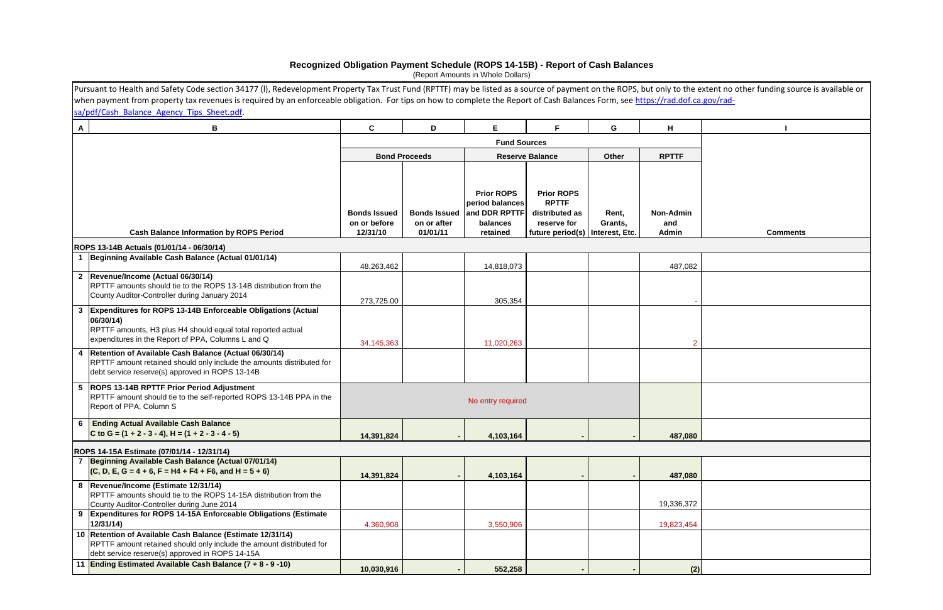Pursuant to Health and Safety Code section 34177 (l), Redevelopment Property Tax Trust Fund (RPTTF) may be listed as <sup>a</sup> source of payment on the ROPS, but only to the extent no other funding source is available or when payment from property tax revenues is required by an enforceable obligation. For tips on how to complete the Report of Cash Balances Form, see https://rad.dof.ca.gov/rad- $\frac{1}{2}$ sa/pdf/Cash\_Balance\_Agency\_Tips\_Sheet.pdf.

|              | sa/pdf/cash Balance Agency Tips Sheet.pdf.                                                                                                                                                      |                                                 |                         |                                                                                            |                                                                                                         |                  |                                  |                 |
|--------------|-------------------------------------------------------------------------------------------------------------------------------------------------------------------------------------------------|-------------------------------------------------|-------------------------|--------------------------------------------------------------------------------------------|---------------------------------------------------------------------------------------------------------|------------------|----------------------------------|-----------------|
| $\mathsf{A}$ | В                                                                                                                                                                                               | C                                               | D                       | E.                                                                                         | F.                                                                                                      | G                | H                                |                 |
|              |                                                                                                                                                                                                 |                                                 |                         | <b>Fund Sources</b>                                                                        |                                                                                                         |                  |                                  |                 |
|              |                                                                                                                                                                                                 |                                                 | <b>Bond Proceeds</b>    |                                                                                            | <b>Reserve Balance</b>                                                                                  | Other            | <b>RPTTF</b>                     |                 |
|              |                                                                                                                                                                                                 |                                                 |                         |                                                                                            |                                                                                                         |                  |                                  |                 |
|              | <b>Cash Balance Information by ROPS Period</b>                                                                                                                                                  | <b>Bonds Issued</b><br>on or before<br>12/31/10 | on or after<br>01/01/11 | <b>Prior ROPS</b><br>period balances<br>Bonds Issued and DDR RPTTF<br>balances<br>retained | <b>Prior ROPS</b><br><b>RPTTF</b><br>distributed as<br>reserve for<br>future period(s)   Interest, Etc. | Rent,<br>Grants, | <b>Non-Admin</b><br>and<br>Admin | <b>Comments</b> |
|              | ROPS 13-14B Actuals (01/01/14 - 06/30/14)                                                                                                                                                       |                                                 |                         |                                                                                            |                                                                                                         |                  |                                  |                 |
|              | 1 Beginning Available Cash Balance (Actual 01/01/14)                                                                                                                                            | 48,263,462                                      |                         | 14,818,073                                                                                 |                                                                                                         |                  | 487,082                          |                 |
|              | 2 Revenue/Income (Actual 06/30/14)<br>RPTTF amounts should tie to the ROPS 13-14B distribution from the<br>County Auditor-Controller during January 2014                                        | 273,725.00                                      |                         | 305,354                                                                                    |                                                                                                         |                  |                                  |                 |
| $\mathbf{3}$ | Expenditures for ROPS 13-14B Enforceable Obligations (Actual<br>06/30/14)<br>RPTTF amounts, H3 plus H4 should equal total reported actual<br>expenditures in the Report of PPA, Columns L and Q | 34,145,363                                      |                         | 11,020,263                                                                                 |                                                                                                         |                  | $\overline{2}$                   |                 |
|              | 4   Retention of Available Cash Balance (Actual 06/30/14)<br>RPTTF amount retained should only include the amounts distributed for<br>debt service reserve(s) approved in ROPS 13-14B           |                                                 |                         |                                                                                            |                                                                                                         |                  |                                  |                 |
|              | 5 ROPS 13-14B RPTTF Prior Period Adjustment<br>RPTTF amount should tie to the self-reported ROPS 13-14B PPA in the<br>Report of PPA, Column S                                                   |                                                 |                         | No entry required                                                                          |                                                                                                         |                  |                                  |                 |
|              | 6 Ending Actual Available Cash Balance<br>C to G = $(1 + 2 - 3 - 4)$ , H = $(1 + 2 - 3 - 4 - 5)$                                                                                                | 14,391,824                                      |                         | 4,103,164                                                                                  |                                                                                                         |                  | 487,080                          |                 |
|              | ROPS 14-15A Estimate (07/01/14 - 12/31/14)                                                                                                                                                      |                                                 |                         |                                                                                            |                                                                                                         |                  |                                  |                 |
|              | 7 Beginning Available Cash Balance (Actual 07/01/14)                                                                                                                                            |                                                 |                         |                                                                                            |                                                                                                         |                  |                                  |                 |
|              | $(C, D, E, G = 4 + 6, F = H4 + F4 + F6, and H = 5 + 6)$                                                                                                                                         | 14,391,824                                      |                         | 4,103,164                                                                                  |                                                                                                         |                  | 487,080                          |                 |
|              | 8  Revenue/Income (Estimate 12/31/14)<br>RPTTF amounts should tie to the ROPS 14-15A distribution from the<br>County Auditor-Controller during June 2014                                        |                                                 |                         |                                                                                            |                                                                                                         |                  | 19,336,372                       |                 |
| 9            | Expenditures for ROPS 14-15A Enforceable Obligations (Estimate<br>12/31/14)                                                                                                                     | 4,360,908                                       |                         | 3,550,906                                                                                  |                                                                                                         |                  | 19,823,454                       |                 |
|              | 10 Retention of Available Cash Balance (Estimate 12/31/14)<br>RPTTF amount retained should only include the amount distributed for<br>debt service reserve(s) approved in ROPS 14-15A           |                                                 |                         |                                                                                            |                                                                                                         |                  |                                  |                 |
|              | 11 Ending Estimated Available Cash Balance (7 + 8 - 9 -10)                                                                                                                                      | 10,030,916                                      |                         | 552,258                                                                                    |                                                                                                         |                  | (2)                              |                 |

# **Recognized Obligation Payment Schedule (ROPS 14-15B) - Report of Cash Balances**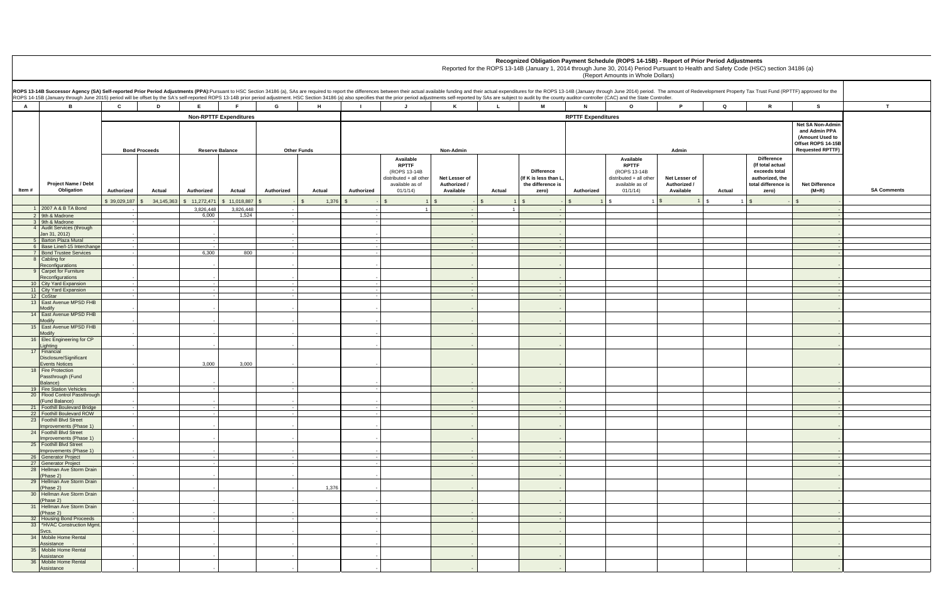| r.                                       |                              | mount of Redevelopment Property Tax Trust Fund (RPTTF) approved for the                            |                                                                            |                    |
|------------------------------------------|------------------------------|----------------------------------------------------------------------------------------------------|----------------------------------------------------------------------------|--------------------|
| P                                        | Q                            | R                                                                                                  | s                                                                          | T                  |
|                                          |                              |                                                                                                    | Net SA Non-Admin<br>and Admin PPA<br>(Amount Used to<br>Offset ROPS 14-15B |                    |
| Admin                                    |                              |                                                                                                    | <b>Requested RPTTF)</b>                                                    |                    |
| et Lesser of<br>uthorized /<br>Available | Actual                       | Difference<br>(If total actual<br>exceeds total<br>authorized, the<br>total difference is<br>zero) | <b>Net Difference</b><br>$(M+R)$                                           | <b>SA Comments</b> |
| $\mathbf{1}$                             | $\mathbb{S}$<br>$\mathbf{1}$ | $$\tilde{\phantom{a}}$$<br>$\overline{\phantom{a}}$                                                | \$<br>$\overline{\phantom{a}}$                                             |                    |
|                                          |                              |                                                                                                    | ÷,                                                                         |                    |
|                                          |                              |                                                                                                    | ÷<br>$\blacksquare$                                                        |                    |
|                                          |                              |                                                                                                    | $\overline{\phantom{a}}$                                                   |                    |
|                                          |                              |                                                                                                    | $\blacksquare$                                                             |                    |
|                                          |                              |                                                                                                    | ÷.<br>÷                                                                    |                    |
|                                          |                              |                                                                                                    | ٠                                                                          |                    |
|                                          |                              |                                                                                                    | $\overline{\phantom{a}}$                                                   |                    |
|                                          |                              |                                                                                                    | ÷.<br>$\overline{\phantom{a}}$                                             |                    |
|                                          |                              |                                                                                                    | ÷.                                                                         |                    |
|                                          |                              |                                                                                                    | $\overline{\phantom{a}}$                                                   |                    |
|                                          |                              |                                                                                                    | ۰                                                                          |                    |
|                                          |                              |                                                                                                    | ٠                                                                          |                    |
|                                          |                              |                                                                                                    | $\blacksquare$                                                             |                    |
|                                          |                              |                                                                                                    | $\overline{\phantom{a}}$                                                   |                    |
|                                          |                              |                                                                                                    | $\overline{\phantom{a}}$                                                   |                    |
|                                          |                              |                                                                                                    | ÷                                                                          |                    |
|                                          |                              |                                                                                                    | ٠                                                                          |                    |
|                                          |                              |                                                                                                    | $\blacksquare$<br>÷                                                        |                    |
|                                          |                              |                                                                                                    | $\overline{\phantom{a}}$                                                   |                    |
|                                          |                              |                                                                                                    | -                                                                          |                    |
|                                          |                              |                                                                                                    | $\overline{\phantom{a}}$                                                   |                    |
|                                          |                              |                                                                                                    | ÷<br>$\blacksquare$                                                        |                    |
|                                          |                              |                                                                                                    | ÷                                                                          |                    |
|                                          |                              |                                                                                                    | $\overline{\phantom{a}}$                                                   |                    |
|                                          |                              |                                                                                                    | $\overline{\phantom{a}}$                                                   |                    |
|                                          |                              |                                                                                                    | $\overline{\phantom{a}}$                                                   |                    |
|                                          |                              |                                                                                                    | ÷.                                                                         |                    |
|                                          |                              |                                                                                                    | $\overline{\phantom{a}}$                                                   |                    |
|                                          |                              |                                                                                                    | $\overline{\phantom{a}}$                                                   |                    |
|                                          |                              |                                                                                                    | $\overline{\phantom{a}}$                                                   |                    |
|                                          |                              |                                                                                                    | ٠                                                                          |                    |

|                | ROPS 13-14B Successor Agency (SA) Self-reported Prior Period Adjustments (PPA):Pursuant to HSC Section 34186 (a), SAs are required to report the differences between their actual available funding and their actual expenditu<br>ROPS 14-15B (January through June 2015) period will be offset by the SA's self-reported ROPS 13-14B prior period adjustment. HSC Section 34186 (a) also specifies that the prior period adjustments self-reported by SAs are s |                      |        |                          |                               |                    |        |            |                                                                                                     |                                            |              |                                                                         |                           |                                                                                                     |                                            |             |                                                                                                           |                                                                                                      |               |
|----------------|------------------------------------------------------------------------------------------------------------------------------------------------------------------------------------------------------------------------------------------------------------------------------------------------------------------------------------------------------------------------------------------------------------------------------------------------------------------|----------------------|--------|--------------------------|-------------------------------|--------------------|--------|------------|-----------------------------------------------------------------------------------------------------|--------------------------------------------|--------------|-------------------------------------------------------------------------|---------------------------|-----------------------------------------------------------------------------------------------------|--------------------------------------------|-------------|-----------------------------------------------------------------------------------------------------------|------------------------------------------------------------------------------------------------------|---------------|
| $\overline{A}$ | В.                                                                                                                                                                                                                                                                                                                                                                                                                                                               | $\mathbf{c}$         | D      | E.                       | E.                            | G                  | H      |            | $\mathbf{J}$                                                                                        | K                                          | $\mathbf{L}$ | M                                                                       | $\mathbf{N}$              | $\circ$                                                                                             | P.                                         | $\mathbf Q$ | $\mathbf{R}$                                                                                              | s                                                                                                    |               |
|                |                                                                                                                                                                                                                                                                                                                                                                                                                                                                  |                      |        |                          | <b>Non-RPTTF Expenditures</b> |                    |        |            |                                                                                                     |                                            |              |                                                                         | <b>RPTTF Expenditures</b> |                                                                                                     |                                            |             |                                                                                                           |                                                                                                      |               |
|                |                                                                                                                                                                                                                                                                                                                                                                                                                                                                  | <b>Bond Proceeds</b> |        | <b>Reserve Balance</b>   |                               | <b>Other Funds</b> |        |            |                                                                                                     | Non-Admin                                  |              |                                                                         |                           |                                                                                                     | Admin                                      |             |                                                                                                           | Net SA Non-Admi<br>and Admin PPA<br>(Amount Used to<br>Offset ROPS 14-15B<br><b>Requested RPTTF)</b> |               |
| Item#          | Project Name / Debt<br>Obligation                                                                                                                                                                                                                                                                                                                                                                                                                                | Authorized           | Actual | Authorized               | Actual                        | Authorized         | Actual | Authorized | Available<br><b>RPTTF</b><br>(ROPS 13-14B<br>distributed + all other<br>available as of<br>01/1/14) | Net Lesser of<br>Authorized /<br>Available | Actual       | <b>Difference</b><br>(If K is less than L<br>the difference is<br>zero) | Authorized                | Available<br><b>RPTTF</b><br>(ROPS 13-14B<br>distributed + all other<br>available as of<br>01/1/14) | Net Lesser of<br>Authorized /<br>Available | Actual      | <b>Difference</b><br>(If total actual<br>exceeds total<br>authorized, the<br>total difference is<br>zero) | <b>Net Difference</b><br>$(M+R)$                                                                     | <b>SA Com</b> |
|                |                                                                                                                                                                                                                                                                                                                                                                                                                                                                  | \$39,029,187<br>\$   |        | 34,145,363 \$ 11,272,471 | \$11,018,887                  | $\mathbb{S}$       | 1,376  |            |                                                                                                     | $\sqrt{S}$                                 |              |                                                                         |                           | \$                                                                                                  |                                            | l \$        |                                                                                                           |                                                                                                      |               |
|                | 1 2007 A & B TA Bond<br>2 9th & Madrone                                                                                                                                                                                                                                                                                                                                                                                                                          |                      |        | 3,826,448<br>6,000       | 3,826,448<br>1,524            |                    |        |            |                                                                                                     |                                            |              |                                                                         |                           |                                                                                                     |                                            |             |                                                                                                           |                                                                                                      |               |
|                | 3 9th & Madrone                                                                                                                                                                                                                                                                                                                                                                                                                                                  |                      |        |                          |                               |                    |        |            |                                                                                                     |                                            |              |                                                                         |                           |                                                                                                     |                                            |             |                                                                                                           |                                                                                                      |               |
|                | 4 Audit Services (through                                                                                                                                                                                                                                                                                                                                                                                                                                        |                      |        |                          |                               |                    |        |            |                                                                                                     |                                            |              |                                                                         |                           |                                                                                                     |                                            |             |                                                                                                           |                                                                                                      |               |
|                | Jan 31, 2012)<br>5 Barton Plaza Mural                                                                                                                                                                                                                                                                                                                                                                                                                            |                      |        |                          |                               |                    |        |            |                                                                                                     |                                            |              |                                                                         |                           |                                                                                                     |                                            |             |                                                                                                           |                                                                                                      |               |
|                | 6 Base Line/I-15 Interchange                                                                                                                                                                                                                                                                                                                                                                                                                                     | - 1                  |        |                          |                               |                    |        |            |                                                                                                     |                                            |              | $\sim$ $-$                                                              |                           |                                                                                                     |                                            |             |                                                                                                           |                                                                                                      |               |
|                | 7 Bond Trustee Services                                                                                                                                                                                                                                                                                                                                                                                                                                          |                      |        | 6,300                    | 800                           |                    |        |            |                                                                                                     |                                            |              |                                                                         |                           |                                                                                                     |                                            |             |                                                                                                           |                                                                                                      |               |
|                | 8 Cabling for<br>Reconfigurations                                                                                                                                                                                                                                                                                                                                                                                                                                |                      |        |                          |                               |                    |        |            |                                                                                                     |                                            |              |                                                                         |                           |                                                                                                     |                                            |             |                                                                                                           |                                                                                                      |               |
|                | 9 Carpet for Furniture                                                                                                                                                                                                                                                                                                                                                                                                                                           |                      |        |                          |                               |                    |        |            |                                                                                                     |                                            |              |                                                                         |                           |                                                                                                     |                                            |             |                                                                                                           |                                                                                                      |               |
|                | Reconfigurations<br>10 City Yard Expansion                                                                                                                                                                                                                                                                                                                                                                                                                       | $\sim$               |        |                          |                               |                    |        |            |                                                                                                     |                                            |              |                                                                         |                           |                                                                                                     |                                            |             |                                                                                                           |                                                                                                      |               |
|                | 11 City Yard Expansion                                                                                                                                                                                                                                                                                                                                                                                                                                           | $\sim$               |        |                          |                               |                    |        |            |                                                                                                     |                                            |              | $\sim$ $-$                                                              |                           |                                                                                                     |                                            |             |                                                                                                           |                                                                                                      |               |
|                | 12 CoStar                                                                                                                                                                                                                                                                                                                                                                                                                                                        |                      |        |                          |                               |                    |        |            |                                                                                                     |                                            |              |                                                                         |                           |                                                                                                     |                                            |             |                                                                                                           |                                                                                                      |               |
|                | 13 East Avenue MPSD FHB<br>Modify                                                                                                                                                                                                                                                                                                                                                                                                                                |                      |        |                          |                               |                    |        |            |                                                                                                     |                                            |              |                                                                         |                           |                                                                                                     |                                            |             |                                                                                                           |                                                                                                      |               |
|                | 14 East Avenue MPSD FHB                                                                                                                                                                                                                                                                                                                                                                                                                                          |                      |        |                          |                               |                    |        |            |                                                                                                     |                                            |              |                                                                         |                           |                                                                                                     |                                            |             |                                                                                                           |                                                                                                      |               |
|                | Modify<br>15 East Avenue MPSD FHB                                                                                                                                                                                                                                                                                                                                                                                                                                |                      |        |                          |                               |                    |        |            |                                                                                                     |                                            |              |                                                                         |                           |                                                                                                     |                                            |             |                                                                                                           |                                                                                                      |               |
|                | Modify<br>16 Elec Engineering for CP                                                                                                                                                                                                                                                                                                                                                                                                                             |                      |        |                          |                               |                    |        |            |                                                                                                     |                                            |              |                                                                         |                           |                                                                                                     |                                            |             |                                                                                                           |                                                                                                      |               |
|                | Lighting                                                                                                                                                                                                                                                                                                                                                                                                                                                         |                      |        |                          |                               |                    |        |            |                                                                                                     |                                            |              |                                                                         |                           |                                                                                                     |                                            |             |                                                                                                           |                                                                                                      |               |
|                | 17 Financial<br>Disclosure/Significant                                                                                                                                                                                                                                                                                                                                                                                                                           |                      |        |                          |                               |                    |        |            |                                                                                                     |                                            |              |                                                                         |                           |                                                                                                     |                                            |             |                                                                                                           |                                                                                                      |               |
|                | <b>Events Notices</b>                                                                                                                                                                                                                                                                                                                                                                                                                                            |                      |        | 3,000                    | 3,000                         |                    |        |            |                                                                                                     |                                            |              |                                                                         |                           |                                                                                                     |                                            |             |                                                                                                           |                                                                                                      |               |
|                | 18 Fire Protection<br>Passthrough (Fund                                                                                                                                                                                                                                                                                                                                                                                                                          |                      |        |                          |                               |                    |        |            |                                                                                                     |                                            |              |                                                                         |                           |                                                                                                     |                                            |             |                                                                                                           |                                                                                                      |               |
|                | Balance)                                                                                                                                                                                                                                                                                                                                                                                                                                                         |                      |        |                          |                               |                    |        |            |                                                                                                     |                                            |              |                                                                         |                           |                                                                                                     |                                            |             |                                                                                                           |                                                                                                      |               |
|                | 19 Fire Station Vehicles<br>20 Flood Control Passthrough                                                                                                                                                                                                                                                                                                                                                                                                         | $\sim$               |        |                          |                               |                    |        |            |                                                                                                     |                                            |              |                                                                         |                           |                                                                                                     |                                            |             |                                                                                                           |                                                                                                      |               |
|                | (Fund Balance)                                                                                                                                                                                                                                                                                                                                                                                                                                                   |                      |        |                          |                               |                    |        |            |                                                                                                     |                                            |              |                                                                         |                           |                                                                                                     |                                            |             |                                                                                                           |                                                                                                      |               |
|                | 21 Foothill Boulevard Bridge                                                                                                                                                                                                                                                                                                                                                                                                                                     | $\sim$               |        |                          |                               |                    |        |            |                                                                                                     |                                            |              | $\sim$                                                                  |                           |                                                                                                     |                                            |             |                                                                                                           |                                                                                                      |               |
|                | 22 Foothill Boulevard ROW<br>23 Foothill Blvd Street                                                                                                                                                                                                                                                                                                                                                                                                             |                      |        |                          |                               |                    |        |            |                                                                                                     |                                            |              | $\sim$                                                                  |                           |                                                                                                     |                                            |             |                                                                                                           |                                                                                                      |               |
|                | Improvements (Phase 1)                                                                                                                                                                                                                                                                                                                                                                                                                                           |                      |        |                          |                               |                    |        |            |                                                                                                     |                                            |              |                                                                         |                           |                                                                                                     |                                            |             |                                                                                                           |                                                                                                      |               |
|                | 24 Foothill Blvd Street<br>Improvements (Phase 1)                                                                                                                                                                                                                                                                                                                                                                                                                |                      |        |                          |                               |                    |        |            |                                                                                                     |                                            |              |                                                                         |                           |                                                                                                     |                                            |             |                                                                                                           |                                                                                                      |               |
|                | 25 Foothill Blvd Street<br>Improvements (Phase 1)                                                                                                                                                                                                                                                                                                                                                                                                                |                      |        |                          |                               |                    |        |            |                                                                                                     |                                            |              |                                                                         |                           |                                                                                                     |                                            |             |                                                                                                           |                                                                                                      |               |
|                | 26 Generator Project                                                                                                                                                                                                                                                                                                                                                                                                                                             |                      |        |                          |                               |                    |        |            |                                                                                                     |                                            |              | $\sim$                                                                  |                           |                                                                                                     |                                            |             |                                                                                                           |                                                                                                      |               |
|                | 27 Generator Project                                                                                                                                                                                                                                                                                                                                                                                                                                             |                      |        |                          |                               |                    |        |            |                                                                                                     |                                            |              | $\sim$                                                                  |                           |                                                                                                     |                                            |             |                                                                                                           |                                                                                                      |               |
|                | 28 Hellman Ave Storm Drain<br>(Phase 2)                                                                                                                                                                                                                                                                                                                                                                                                                          |                      |        |                          |                               |                    |        |            |                                                                                                     |                                            |              |                                                                         |                           |                                                                                                     |                                            |             |                                                                                                           |                                                                                                      |               |
|                | 29 Hellman Ave Storm Drain                                                                                                                                                                                                                                                                                                                                                                                                                                       |                      |        |                          |                               |                    |        |            |                                                                                                     |                                            |              |                                                                         |                           |                                                                                                     |                                            |             |                                                                                                           |                                                                                                      |               |
|                | (Phase 2)<br>30 Hellman Ave Storm Drain                                                                                                                                                                                                                                                                                                                                                                                                                          |                      |        |                          |                               |                    | 1,376  |            |                                                                                                     |                                            |              |                                                                         |                           |                                                                                                     |                                            |             |                                                                                                           |                                                                                                      |               |
|                | (Phase 2)<br>31 Hellman Ave Storm Drain                                                                                                                                                                                                                                                                                                                                                                                                                          |                      |        |                          |                               |                    |        |            |                                                                                                     |                                            |              |                                                                         |                           |                                                                                                     |                                            |             |                                                                                                           |                                                                                                      |               |
|                | (Phase 2)                                                                                                                                                                                                                                                                                                                                                                                                                                                        |                      |        |                          |                               |                    |        |            |                                                                                                     |                                            |              |                                                                         |                           |                                                                                                     |                                            |             |                                                                                                           |                                                                                                      |               |
|                | 32 Housing Bond Proceeds<br>33 *HVAC Construction Mgmt.                                                                                                                                                                                                                                                                                                                                                                                                          |                      |        |                          |                               |                    |        |            |                                                                                                     |                                            |              | $\sim$ $-$                                                              |                           |                                                                                                     |                                            |             |                                                                                                           |                                                                                                      |               |
|                | Svcs.                                                                                                                                                                                                                                                                                                                                                                                                                                                            |                      |        |                          |                               |                    |        |            |                                                                                                     |                                            |              |                                                                         |                           |                                                                                                     |                                            |             |                                                                                                           |                                                                                                      |               |
|                | 34 Mobile Home Rental<br>Assistance                                                                                                                                                                                                                                                                                                                                                                                                                              |                      |        |                          |                               |                    |        |            |                                                                                                     |                                            |              |                                                                         |                           |                                                                                                     |                                            |             |                                                                                                           |                                                                                                      |               |
|                | 35 Mobile Home Rental                                                                                                                                                                                                                                                                                                                                                                                                                                            |                      |        |                          |                               |                    |        |            |                                                                                                     |                                            |              |                                                                         |                           |                                                                                                     |                                            |             |                                                                                                           |                                                                                                      |               |
|                | Assistance                                                                                                                                                                                                                                                                                                                                                                                                                                                       |                      |        |                          |                               |                    |        |            |                                                                                                     |                                            |              |                                                                         |                           |                                                                                                     |                                            |             |                                                                                                           |                                                                                                      |               |
|                | 36 Mobile Home Rental<br>Assistance                                                                                                                                                                                                                                                                                                                                                                                                                              |                      |        |                          |                               |                    |        |            |                                                                                                     |                                            |              |                                                                         |                           |                                                                                                     |                                            |             |                                                                                                           |                                                                                                      |               |
|                |                                                                                                                                                                                                                                                                                                                                                                                                                                                                  |                      |        |                          |                               |                    |        |            |                                                                                                     |                                            |              |                                                                         |                           |                                                                                                     |                                            |             |                                                                                                           |                                                                                                      |               |

**Recognized Obligation Payment Schedule (ROPS 14-15B) - Report of Prior Period Adjustments**

Reported for the ROPS 13-14B (January 1, 2014 through June 30, 2014) Period Pursuant to Health and Safety Code (HSC) section 34186 (a)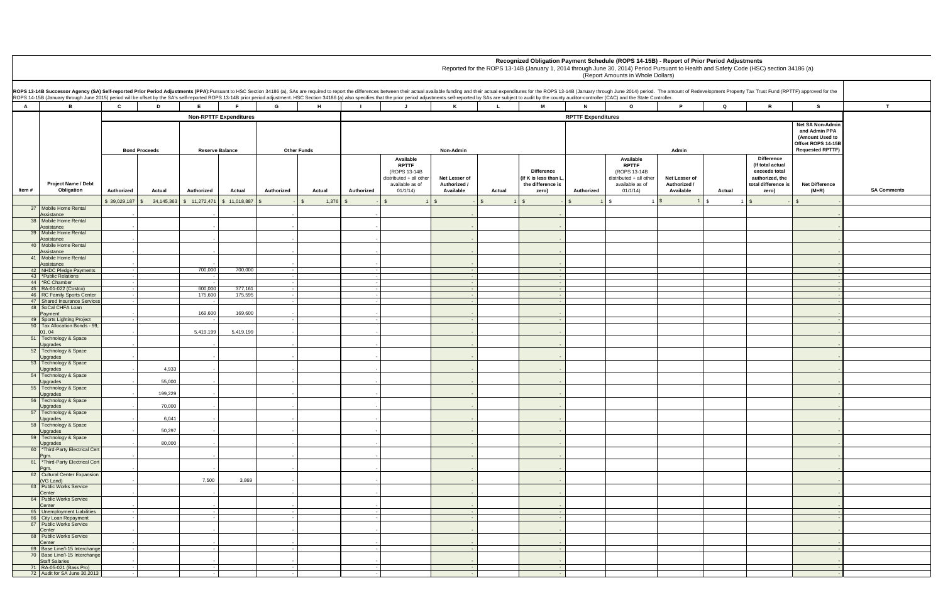| r.                                       |           | mount of Redevelopment Property Tax Trust Fund (RPTTF) approved for the                            |                                                                                                       |                    |
|------------------------------------------|-----------|----------------------------------------------------------------------------------------------------|-------------------------------------------------------------------------------------------------------|--------------------|
| P                                        | Q         | R                                                                                                  | s                                                                                                     | T                  |
| Admin                                    |           |                                                                                                    | Net SA Non-Admin<br>and Admin PPA<br>(Amount Used to<br>Offset ROPS 14-15B<br><b>Requested RPTTF)</b> |                    |
| et Lesser of<br>uthorized /<br>Available | Actual    | Difference<br>(If total actual<br>exceeds total<br>authorized, the<br>total difference is<br>zero) | <b>Net Difference</b><br>$(M+R)$                                                                      | <b>SA Comments</b> |
| $\mathbf{1}$                             | $\,$<br>1 | $\,$<br>٠                                                                                          | $\,$<br>$\overline{\phantom{a}}$                                                                      |                    |
|                                          |           |                                                                                                    | $\overline{\phantom{a}}$                                                                              |                    |
|                                          |           |                                                                                                    | -                                                                                                     |                    |
|                                          |           |                                                                                                    | ٠                                                                                                     |                    |
|                                          |           |                                                                                                    | $\overline{\phantom{a}}$                                                                              |                    |
|                                          |           |                                                                                                    | $\overline{\phantom{m}}$                                                                              |                    |
|                                          |           |                                                                                                    | $\overline{\phantom{a}}$<br>٠                                                                         |                    |
|                                          |           |                                                                                                    | $\blacksquare$                                                                                        |                    |
|                                          |           |                                                                                                    | $\blacksquare$<br>÷                                                                                   |                    |
|                                          |           |                                                                                                    | $\overline{\phantom{a}}$                                                                              |                    |
|                                          |           |                                                                                                    | $\overline{\phantom{a}}$                                                                              |                    |
|                                          |           |                                                                                                    | $\overline{\phantom{a}}$                                                                              |                    |
|                                          |           |                                                                                                    | $\overline{\phantom{a}}$                                                                              |                    |
|                                          |           |                                                                                                    | ٠                                                                                                     |                    |
|                                          |           |                                                                                                    | $\overline{\phantom{a}}$<br>$\overline{\phantom{a}}$                                                  |                    |
|                                          |           |                                                                                                    | ÷                                                                                                     |                    |
|                                          |           |                                                                                                    | ٠                                                                                                     |                    |
|                                          |           |                                                                                                    | $\overline{\phantom{a}}$                                                                              |                    |
|                                          |           |                                                                                                    | ٠                                                                                                     |                    |
|                                          |           |                                                                                                    | $\overline{\phantom{a}}$                                                                              |                    |
|                                          |           |                                                                                                    | $\overline{a}$                                                                                        |                    |
|                                          |           |                                                                                                    | ۰                                                                                                     |                    |
|                                          |           |                                                                                                    | $\overline{\phantom{a}}$                                                                              |                    |
|                                          |           |                                                                                                    | $\overline{\phantom{a}}$                                                                              |                    |
|                                          |           |                                                                                                    | ۰                                                                                                     |                    |
|                                          |           |                                                                                                    | $\overline{\phantom{a}}$                                                                              |                    |
|                                          |           |                                                                                                    | $\Box$<br>$\overline{\phantom{a}}$                                                                    |                    |
|                                          |           |                                                                                                    | ۰                                                                                                     |                    |
|                                          |           |                                                                                                    | $\overline{\phantom{a}}$                                                                              |                    |
|                                          |           |                                                                                                    | Ξ                                                                                                     |                    |
|                                          |           |                                                                                                    | $\overline{\phantom{a}}$                                                                              |                    |
|                                          |           |                                                                                                    | $\blacksquare$<br>÷                                                                                   |                    |

**Recognized Obligation Payment Schedule (ROPS 14-15B) - Report of Prior Period Adjustments**

Reported for the ROPS 13-14B (January 1, 2014 through June 30, 2014) Period Pursuant to Health and Safety Code (HSC) section 34186 (a)

|                | ROPS 13-14B Successor Agency (SA) Self-reported Prior Period Adjustments (PPA):Pursuant to HSC Section 34186 (a), SAs are required to report the differences between their actual available funding and their actual expenditu<br>ROPS 14-15B (January through June 2015) period will be offset by the SA's self-reported ROPS 13-14B prior period adjustment. HSC Section 34186 (a) also specifies that the prior period adjustments self-reported by SAs are s |              |                            |                        |                               |                    |        |              |                                                                                                    |                                            |              |                                                                         |                           |                                                                                                     |                                            |        |                                                                                                           |                                                                                                              |               |
|----------------|------------------------------------------------------------------------------------------------------------------------------------------------------------------------------------------------------------------------------------------------------------------------------------------------------------------------------------------------------------------------------------------------------------------------------------------------------------------|--------------|----------------------------|------------------------|-------------------------------|--------------------|--------|--------------|----------------------------------------------------------------------------------------------------|--------------------------------------------|--------------|-------------------------------------------------------------------------|---------------------------|-----------------------------------------------------------------------------------------------------|--------------------------------------------|--------|-----------------------------------------------------------------------------------------------------------|--------------------------------------------------------------------------------------------------------------|---------------|
| $\overline{A}$ | B                                                                                                                                                                                                                                                                                                                                                                                                                                                                | $\mathbf{c}$ | D                          | E                      | F.                            | G                  | H      | $\mathbf{L}$ | $\mathbf{J}$                                                                                       | K                                          | $\mathbf{L}$ | <b>M</b>                                                                | $\mathbf{N}$              | $\mathbf{o}$                                                                                        | P.                                         | Q      | $\mathbf{R}$                                                                                              | s                                                                                                            | $\mathbf{T}$  |
|                |                                                                                                                                                                                                                                                                                                                                                                                                                                                                  |              |                            |                        | <b>Non-RPTTF Expenditures</b> |                    |        |              |                                                                                                    |                                            |              |                                                                         | <b>RPTTF Expenditures</b> |                                                                                                     |                                            |        |                                                                                                           |                                                                                                              |               |
|                |                                                                                                                                                                                                                                                                                                                                                                                                                                                                  |              | <b>Bond Proceeds</b>       | <b>Reserve Balance</b> |                               | <b>Other Funds</b> |        |              |                                                                                                    | Non-Admin                                  |              |                                                                         |                           |                                                                                                     | Admin                                      |        |                                                                                                           | <b>Net SA Non-Admir</b><br>and Admin PPA<br>(Amount Used to<br>Offset ROPS 14-15B<br><b>Requested RPTTF)</b> |               |
| Item #         | <b>Project Name / Debt</b><br>Obligation                                                                                                                                                                                                                                                                                                                                                                                                                         | Authorized   | Actual                     | Authorized             | Actual                        | Authorized         | Actual | Authorized   | Available<br><b>RPTTF</b><br>(ROPS 13-14B<br>distributed + all othe<br>available as of<br>01/1/14) | Net Lesser of<br>Authorized /<br>Available | Actual       | <b>Difference</b><br>(If K is less than L<br>the difference is<br>zero) | Authorized                | Available<br><b>RPTTF</b><br>(ROPS 13-14B<br>distributed + all other<br>available as of<br>01/1/14) | Net Lesser of<br>Authorized /<br>Available | Actual | <b>Difference</b><br>(If total actual<br>exceeds total<br>authorized, the<br>total difference is<br>zero) | <b>Net Difference</b><br>(M+R)                                                                               | <b>SA Com</b> |
|                |                                                                                                                                                                                                                                                                                                                                                                                                                                                                  | \$39,029,187 | 34,145,363<br>$\mathbb{S}$ |                        | \$ 11,272,471 \$ 11,018,887   | $\mathbb{S}$       | 1,376  |              | - \$                                                                                               | \$                                         | $\mathbb{S}$ | $\vert$ \$                                                              | $\mathbf{1}$              | \$                                                                                                  |                                            | l \$   | $\mathbb{S}$                                                                                              |                                                                                                              |               |
|                | 37 Mobile Home Rental<br>Assistance                                                                                                                                                                                                                                                                                                                                                                                                                              |              |                            |                        |                               |                    |        |              |                                                                                                    |                                            |              |                                                                         |                           |                                                                                                     |                                            |        |                                                                                                           |                                                                                                              |               |
|                | 38 Mobile Home Rental<br>Assistance                                                                                                                                                                                                                                                                                                                                                                                                                              |              |                            |                        |                               |                    |        |              |                                                                                                    |                                            |              |                                                                         |                           |                                                                                                     |                                            |        |                                                                                                           |                                                                                                              |               |
|                | 39 Mobile Home Rental                                                                                                                                                                                                                                                                                                                                                                                                                                            |              |                            |                        |                               |                    |        |              |                                                                                                    |                                            |              |                                                                         |                           |                                                                                                     |                                            |        |                                                                                                           |                                                                                                              |               |
|                | Assistance<br>40 Mobile Home Rental                                                                                                                                                                                                                                                                                                                                                                                                                              |              |                            |                        |                               |                    |        |              |                                                                                                    |                                            |              |                                                                         |                           |                                                                                                     |                                            |        |                                                                                                           |                                                                                                              |               |
|                | Assistance<br>41 Mobile Home Rental                                                                                                                                                                                                                                                                                                                                                                                                                              |              |                            |                        |                               |                    |        |              |                                                                                                    |                                            |              |                                                                         |                           |                                                                                                     |                                            |        |                                                                                                           |                                                                                                              |               |
|                | Assistance<br>42 NHDC Pledge Payments                                                                                                                                                                                                                                                                                                                                                                                                                            |              |                            | 700,000                | 700,000                       |                    |        |              |                                                                                                    |                                            |              | $\sim$ $-$                                                              |                           |                                                                                                     |                                            |        |                                                                                                           |                                                                                                              |               |
|                | 43 *Public Relations                                                                                                                                                                                                                                                                                                                                                                                                                                             |              |                            |                        |                               |                    |        | $\sim$       |                                                                                                    |                                            |              | $\sim$ $-$                                                              |                           |                                                                                                     |                                            |        |                                                                                                           |                                                                                                              |               |
|                | 44 <b>*RC</b> Chamber<br>45 RA-01-022 (Costco)                                                                                                                                                                                                                                                                                                                                                                                                                   |              |                            | 600,000                | 377,161                       |                    |        | $\sim$       |                                                                                                    |                                            |              | $\sim$<br>$\sim$ $-$                                                    |                           |                                                                                                     |                                            |        |                                                                                                           |                                                                                                              |               |
|                | 46 RC Family Sports Center                                                                                                                                                                                                                                                                                                                                                                                                                                       |              |                            | 175,600                | 175,595                       |                    |        | $\sim$       |                                                                                                    |                                            |              | $\sim$ $-$                                                              |                           |                                                                                                     |                                            |        |                                                                                                           |                                                                                                              |               |
|                | 47 Shared Insurance Services<br>48 SoCal CHFA Loan                                                                                                                                                                                                                                                                                                                                                                                                               |              |                            |                        |                               |                    |        |              |                                                                                                    |                                            |              | $\sim$                                                                  |                           |                                                                                                     |                                            |        |                                                                                                           |                                                                                                              |               |
|                | Payment                                                                                                                                                                                                                                                                                                                                                                                                                                                          |              |                            | 169,600                | 169,600                       |                    |        |              |                                                                                                    |                                            |              |                                                                         |                           |                                                                                                     |                                            |        |                                                                                                           |                                                                                                              |               |
|                | 49 Sports Lighting Project<br>50 Tax Allocation Bonds - 99,                                                                                                                                                                                                                                                                                                                                                                                                      |              |                            |                        |                               |                    |        |              |                                                                                                    |                                            |              |                                                                         |                           |                                                                                                     |                                            |        |                                                                                                           |                                                                                                              |               |
|                | 01.04<br>51 Technology & Space                                                                                                                                                                                                                                                                                                                                                                                                                                   |              |                            | 5,419,199              | 5,419,199                     |                    |        |              |                                                                                                    |                                            |              |                                                                         |                           |                                                                                                     |                                            |        |                                                                                                           |                                                                                                              |               |
|                | Upgrades                                                                                                                                                                                                                                                                                                                                                                                                                                                         |              |                            |                        |                               |                    |        |              |                                                                                                    |                                            |              |                                                                         |                           |                                                                                                     |                                            |        |                                                                                                           |                                                                                                              |               |
|                | 52 Technology & Space<br>Upgrades                                                                                                                                                                                                                                                                                                                                                                                                                                |              |                            |                        |                               |                    |        |              |                                                                                                    |                                            |              |                                                                         |                           |                                                                                                     |                                            |        |                                                                                                           |                                                                                                              |               |
|                | 53 Technology & Space                                                                                                                                                                                                                                                                                                                                                                                                                                            |              |                            |                        |                               |                    |        |              |                                                                                                    |                                            |              |                                                                         |                           |                                                                                                     |                                            |        |                                                                                                           |                                                                                                              |               |
|                | Upgrades<br>54 Technology & Space                                                                                                                                                                                                                                                                                                                                                                                                                                |              | 4,933                      |                        |                               |                    |        |              |                                                                                                    |                                            |              |                                                                         |                           |                                                                                                     |                                            |        |                                                                                                           |                                                                                                              |               |
|                | <b>Upgrades</b><br>55 Technology & Space                                                                                                                                                                                                                                                                                                                                                                                                                         |              | 55,000                     |                        |                               |                    |        |              |                                                                                                    |                                            |              |                                                                         |                           |                                                                                                     |                                            |        |                                                                                                           |                                                                                                              |               |
|                | Upgrades<br>56 Technology & Space                                                                                                                                                                                                                                                                                                                                                                                                                                |              | 199,229                    |                        |                               |                    |        |              |                                                                                                    |                                            |              |                                                                         |                           |                                                                                                     |                                            |        |                                                                                                           |                                                                                                              |               |
|                | Upgrades<br>57 Technology & Space                                                                                                                                                                                                                                                                                                                                                                                                                                |              | 70,000                     |                        |                               |                    |        |              |                                                                                                    |                                            |              |                                                                         |                           |                                                                                                     |                                            |        |                                                                                                           |                                                                                                              |               |
|                | <b>Upgrades</b><br>58 Technology & Space                                                                                                                                                                                                                                                                                                                                                                                                                         |              | 6,041                      |                        |                               |                    |        |              |                                                                                                    |                                            |              |                                                                         |                           |                                                                                                     |                                            |        |                                                                                                           |                                                                                                              |               |
|                | Upgrades<br>59 Technology & Space                                                                                                                                                                                                                                                                                                                                                                                                                                |              | 50,297                     |                        |                               |                    |        |              |                                                                                                    |                                            |              |                                                                         |                           |                                                                                                     |                                            |        |                                                                                                           |                                                                                                              |               |
|                | Upgrades                                                                                                                                                                                                                                                                                                                                                                                                                                                         |              | 80,000                     |                        |                               |                    |        |              |                                                                                                    |                                            |              |                                                                         |                           |                                                                                                     |                                            |        |                                                                                                           |                                                                                                              |               |
|                | 60 *Third-Party Electrical Cert<br>Pgm.                                                                                                                                                                                                                                                                                                                                                                                                                          |              |                            |                        |                               |                    |        |              |                                                                                                    |                                            |              |                                                                         |                           |                                                                                                     |                                            |        |                                                                                                           |                                                                                                              |               |
|                | 61 *Third-Party Electrical Cert<br>Pam.                                                                                                                                                                                                                                                                                                                                                                                                                          |              |                            |                        |                               |                    |        |              |                                                                                                    |                                            |              |                                                                         |                           |                                                                                                     |                                            |        |                                                                                                           |                                                                                                              |               |
|                | 62 Cultural Center Expansion<br>(VG Land)                                                                                                                                                                                                                                                                                                                                                                                                                        |              |                            | 7,500                  | 3,869                         |                    |        |              |                                                                                                    |                                            |              |                                                                         |                           |                                                                                                     |                                            |        |                                                                                                           |                                                                                                              |               |
|                | 63 Public Works Service<br>Center                                                                                                                                                                                                                                                                                                                                                                                                                                |              |                            |                        |                               |                    |        |              |                                                                                                    |                                            |              |                                                                         |                           |                                                                                                     |                                            |        |                                                                                                           |                                                                                                              |               |
|                | 64 Public Works Service<br>Center                                                                                                                                                                                                                                                                                                                                                                                                                                |              |                            |                        |                               |                    |        |              |                                                                                                    |                                            |              |                                                                         |                           |                                                                                                     |                                            |        |                                                                                                           |                                                                                                              |               |
|                | 65 Unemployment Liabilities                                                                                                                                                                                                                                                                                                                                                                                                                                      |              |                            |                        |                               |                    |        |              |                                                                                                    |                                            |              | $\sim$                                                                  |                           |                                                                                                     |                                            |        |                                                                                                           |                                                                                                              |               |
|                | 66 City Loan Repayment<br>67 Public Works Service                                                                                                                                                                                                                                                                                                                                                                                                                |              |                            |                        |                               |                    |        |              |                                                                                                    |                                            |              | $\sim$                                                                  |                           |                                                                                                     |                                            |        |                                                                                                           |                                                                                                              |               |
|                | Center<br>68 Public Works Service                                                                                                                                                                                                                                                                                                                                                                                                                                |              |                            |                        |                               |                    |        |              |                                                                                                    |                                            |              |                                                                         |                           |                                                                                                     |                                            |        |                                                                                                           |                                                                                                              |               |
|                | Center                                                                                                                                                                                                                                                                                                                                                                                                                                                           |              |                            |                        |                               |                    |        |              |                                                                                                    |                                            |              |                                                                         |                           |                                                                                                     |                                            |        |                                                                                                           |                                                                                                              |               |
|                | 69 Base Line/I-15 Interchange<br>70 Base Line/I-15 Interchange                                                                                                                                                                                                                                                                                                                                                                                                   |              |                            |                        |                               |                    |        |              |                                                                                                    |                                            |              | $\sim$                                                                  |                           |                                                                                                     |                                            |        |                                                                                                           |                                                                                                              |               |
|                | <b>Staff Salaries</b>                                                                                                                                                                                                                                                                                                                                                                                                                                            |              |                            |                        |                               |                    |        |              |                                                                                                    |                                            |              |                                                                         |                           |                                                                                                     |                                            |        |                                                                                                           |                                                                                                              |               |
|                | 71 RA-05-021 (Bass Pro)<br>72 Audit for SA June 30,2013                                                                                                                                                                                                                                                                                                                                                                                                          |              |                            |                        |                               |                    |        |              |                                                                                                    | $\sim$                                     |              | $\sim$ $-$<br>$\sim$ $-$                                                |                           |                                                                                                     |                                            |        |                                                                                                           |                                                                                                              |               |
|                |                                                                                                                                                                                                                                                                                                                                                                                                                                                                  |              |                            |                        |                               |                    |        |              |                                                                                                    |                                            |              |                                                                         |                           |                                                                                                     |                                            |        |                                                                                                           |                                                                                                              |               |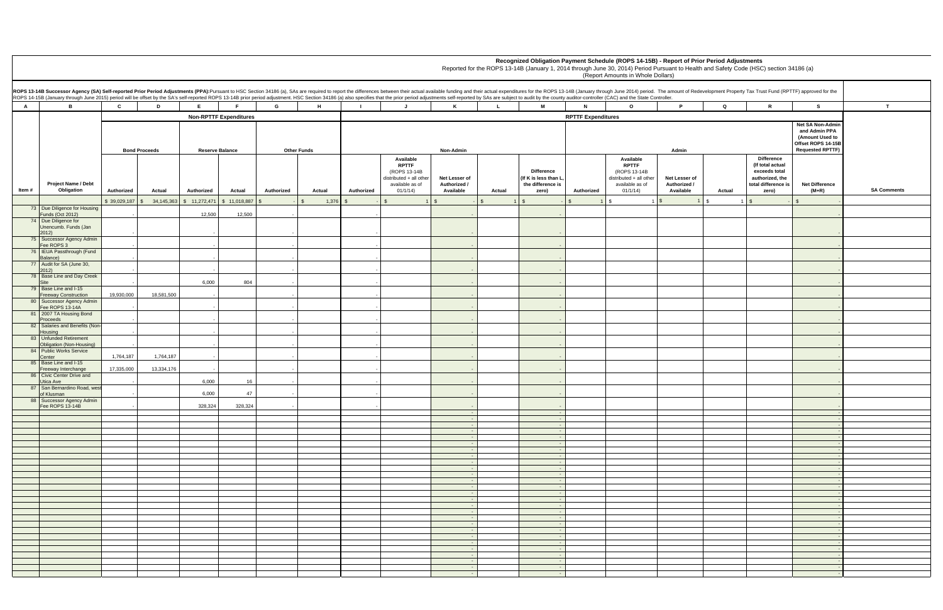| r.                                       |                    | mount of Redevelopment Property Tax Trust Fund (RPTTF) approved for the                            |                                                                                                       |                    |
|------------------------------------------|--------------------|----------------------------------------------------------------------------------------------------|-------------------------------------------------------------------------------------------------------|--------------------|
| P                                        | Q                  | R                                                                                                  | s                                                                                                     | T                  |
| Admin                                    |                    |                                                                                                    | Net SA Non-Admin<br>and Admin PPA<br>(Amount Used to<br>Offset ROPS 14-15B<br><b>Requested RPTTF)</b> |                    |
| et Lesser of<br>uthorized /<br>Available | Actual             | Difference<br>(If total actual<br>exceeds total<br>authorized, the<br>total difference is<br>zero) | <b>Net Difference</b><br>$(M+R)$                                                                      | <b>SA Comments</b> |
| $\mathbf{1}$                             | \$<br>$\mathbf{1}$ | \$<br>$\overline{\phantom{a}}$                                                                     | \$<br>$\overline{\phantom{a}}$                                                                        |                    |
|                                          |                    |                                                                                                    | $\overline{\phantom{a}}$                                                                              |                    |
|                                          |                    |                                                                                                    | $\blacksquare$                                                                                        |                    |
|                                          |                    |                                                                                                    | ٠                                                                                                     |                    |
|                                          |                    |                                                                                                    | ٠                                                                                                     |                    |
|                                          |                    |                                                                                                    | ٠                                                                                                     |                    |
|                                          |                    |                                                                                                    | $\overline{\phantom{a}}$                                                                              |                    |
|                                          |                    |                                                                                                    | $\blacksquare$                                                                                        |                    |
|                                          |                    |                                                                                                    | ۰                                                                                                     |                    |
|                                          |                    |                                                                                                    | $\overline{\phantom{a}}$                                                                              |                    |
|                                          |                    |                                                                                                    | $\overline{\phantom{a}}$                                                                              |                    |
|                                          |                    |                                                                                                    | $\overline{\phantom{a}}$                                                                              |                    |
|                                          |                    |                                                                                                    | ٠                                                                                                     |                    |
|                                          |                    |                                                                                                    | $\blacksquare$                                                                                        |                    |
|                                          |                    |                                                                                                    | ÷                                                                                                     |                    |
|                                          |                    |                                                                                                    | ٠                                                                                                     |                    |
|                                          |                    |                                                                                                    | $\overline{\phantom{a}}$                                                                              |                    |
|                                          |                    |                                                                                                    | ÷.<br>÷                                                                                               |                    |
|                                          |                    |                                                                                                    | ÷                                                                                                     |                    |
|                                          |                    |                                                                                                    | ÷.                                                                                                    |                    |
|                                          |                    |                                                                                                    | ÷,                                                                                                    |                    |
|                                          |                    |                                                                                                    | $\blacksquare$                                                                                        |                    |
|                                          |                    |                                                                                                    | ÷.<br>$\overline{\phantom{a}}$                                                                        |                    |
|                                          |                    |                                                                                                    | ÷.                                                                                                    |                    |
|                                          |                    |                                                                                                    | ÷.<br>$\blacksquare$                                                                                  |                    |
|                                          |                    |                                                                                                    | ÷.                                                                                                    |                    |
|                                          |                    |                                                                                                    | ÷.                                                                                                    |                    |
|                                          |                    |                                                                                                    | $\blacksquare$<br>÷.                                                                                  |                    |
|                                          |                    |                                                                                                    | ÷                                                                                                     |                    |
|                                          |                    |                                                                                                    | $\blacksquare$                                                                                        |                    |
|                                          |                    |                                                                                                    | $\blacksquare$<br>$\overline{\phantom{a}}$                                                            |                    |
|                                          |                    |                                                                                                    | ÷                                                                                                     |                    |
|                                          |                    |                                                                                                    | $\overline{\phantom{a}}$                                                                              |                    |
|                                          |                    |                                                                                                    | ÷                                                                                                     |                    |
|                                          |                    |                                                                                                    | ÷<br>÷,                                                                                               |                    |
|                                          |                    |                                                                                                    | ÷                                                                                                     |                    |
|                                          |                    |                                                                                                    | $\blacksquare$                                                                                        |                    |

**Recognized Obligation Payment Schedule (ROPS 14-15B) - Report of Prior Period Adjustments**

Reported for the ROPS 13-14B (January 1, 2014 through June 30, 2014) Period Pursuant to Health and Safety Code (HSC) section 34186 (a)

|                | ROPS 13-14B Successor Agency (SA) Self-reported Prior Period Adjustments (PPA):Pursuant to HSC Section 34186 (a), SAs are required to report the differences between their actual available funding and their actual expenditu<br>ROPS 14-15B (January through June 2015) period will be offset by the SA's self-reported ROPS 13-14B prior period adjustment. HSC Section 34186 (a) also specifies that the prior period adjustments self-reported by SAs are s |              |                            |                        |                                           |                    |        |            |                                                                                                     |                                            |              |                                                                         |                           |                                                                                                     |                                            |              |                                                                                                           |                                                                                                              |               |
|----------------|------------------------------------------------------------------------------------------------------------------------------------------------------------------------------------------------------------------------------------------------------------------------------------------------------------------------------------------------------------------------------------------------------------------------------------------------------------------|--------------|----------------------------|------------------------|-------------------------------------------|--------------------|--------|------------|-----------------------------------------------------------------------------------------------------|--------------------------------------------|--------------|-------------------------------------------------------------------------|---------------------------|-----------------------------------------------------------------------------------------------------|--------------------------------------------|--------------|-----------------------------------------------------------------------------------------------------------|--------------------------------------------------------------------------------------------------------------|---------------|
| $\overline{A}$ | В.                                                                                                                                                                                                                                                                                                                                                                                                                                                               | $\mathbf{c}$ | D                          | E.,                    | E.                                        | G                  | H      |            | $\mathbf{J}$                                                                                        | $\mathsf{K}$                               | $\mathbf{L}$ | M                                                                       | $\mathbf{N}$              | $\circ$                                                                                             | P.                                         | $\mathbf Q$  | $\mathbb{R}$                                                                                              | s                                                                                                            | $\mathbf{T}$  |
|                |                                                                                                                                                                                                                                                                                                                                                                                                                                                                  |              |                            |                        | <b>Non-RPTTF Expenditures</b>             |                    |        |            |                                                                                                     |                                            |              |                                                                         | <b>RPTTF Expenditures</b> |                                                                                                     |                                            |              |                                                                                                           |                                                                                                              |               |
|                |                                                                                                                                                                                                                                                                                                                                                                                                                                                                  |              | <b>Bond Proceeds</b>       | <b>Reserve Balance</b> |                                           | <b>Other Funds</b> |        |            |                                                                                                     | Non-Admin                                  |              |                                                                         |                           |                                                                                                     | Admin                                      |              |                                                                                                           | <b>Net SA Non-Admir</b><br>and Admin PPA<br>(Amount Used to<br>Offset ROPS 14-15B<br><b>Requested RPTTF)</b> |               |
| Item#          | Project Name / Debt<br>Obligation                                                                                                                                                                                                                                                                                                                                                                                                                                | Authorized   | Actual                     | Authorized             | Actual                                    | Authorized         | Actual | Authorized | Available<br><b>RPTTF</b><br>(ROPS 13-14B<br>distributed + all other<br>available as of<br>01/1/14) | Net Lesser of<br>Authorized /<br>Available | Actual       | <b>Difference</b><br>(If K is less than L<br>the difference is<br>zero) | Authorized                | Available<br><b>RPTTF</b><br>(ROPS 13-14B<br>distributed + all other<br>available as of<br>01/1/14) | Net Lesser of<br>Authorized /<br>Available | Actual       | <b>Difference</b><br>(If total actual<br>exceeds total<br>authorized, the<br>total difference is<br>zero) | <b>Net Difference</b><br>$(M+R)$                                                                             | <b>SA Com</b> |
|                |                                                                                                                                                                                                                                                                                                                                                                                                                                                                  | \$39,029,187 | 34,145,363<br>$\mathbb{S}$ |                        | $\frac{1}{2}$ \$ 11,272,471 \$ 11,018,887 | $\mathbb{S}$       | 1,376  |            | $\mathbb{S}$                                                                                        | $\mathbb{S}$                               | $\mathbb{S}$ | $\sqrt{S}$                                                              | $\mathbf{1}$              | <b>\$</b>                                                                                           |                                            | $\mathsf{I}$ | $\mathfrak{S}$                                                                                            |                                                                                                              |               |
|                | 73 Due Diligence for Housing<br><b>Funds (Oct 2012)</b>                                                                                                                                                                                                                                                                                                                                                                                                          |              |                            | 12,500                 | 12,500                                    |                    |        |            |                                                                                                     |                                            |              |                                                                         |                           |                                                                                                     |                                            |              |                                                                                                           |                                                                                                              |               |
|                | 74 Due Diligence for<br>Unencumb. Funds (Jan                                                                                                                                                                                                                                                                                                                                                                                                                     |              |                            |                        |                                           |                    |        |            |                                                                                                     |                                            |              |                                                                         |                           |                                                                                                     |                                            |              |                                                                                                           |                                                                                                              |               |
|                | 2012)                                                                                                                                                                                                                                                                                                                                                                                                                                                            |              |                            |                        |                                           |                    |        |            |                                                                                                     |                                            |              |                                                                         |                           |                                                                                                     |                                            |              |                                                                                                           |                                                                                                              |               |
|                | 75 Successor Agency Admin<br>Fee ROPS 3                                                                                                                                                                                                                                                                                                                                                                                                                          |              |                            |                        |                                           |                    |        |            |                                                                                                     |                                            |              |                                                                         |                           |                                                                                                     |                                            |              |                                                                                                           |                                                                                                              |               |
|                | 76 IEUA Passthrough (Fund                                                                                                                                                                                                                                                                                                                                                                                                                                        |              |                            |                        |                                           |                    |        |            |                                                                                                     |                                            |              |                                                                         |                           |                                                                                                     |                                            |              |                                                                                                           |                                                                                                              |               |
|                | Balance)<br>77 Audit for SA (June 30,                                                                                                                                                                                                                                                                                                                                                                                                                            |              |                            |                        |                                           |                    |        |            |                                                                                                     |                                            |              |                                                                         |                           |                                                                                                     |                                            |              |                                                                                                           |                                                                                                              |               |
|                | 2012)<br>78 Base Line and Day Creek                                                                                                                                                                                                                                                                                                                                                                                                                              |              |                            |                        |                                           |                    |        |            |                                                                                                     |                                            |              |                                                                         |                           |                                                                                                     |                                            |              |                                                                                                           |                                                                                                              |               |
|                | Site<br>79 Base Line and I-15                                                                                                                                                                                                                                                                                                                                                                                                                                    |              |                            | 6,000                  | 804                                       |                    |        |            |                                                                                                     |                                            |              |                                                                         |                           |                                                                                                     |                                            |              |                                                                                                           |                                                                                                              |               |
|                | <b>Freeway Construction</b>                                                                                                                                                                                                                                                                                                                                                                                                                                      | 19,930,000   | 18,581,500                 |                        |                                           |                    |        |            |                                                                                                     |                                            |              |                                                                         |                           |                                                                                                     |                                            |              |                                                                                                           |                                                                                                              |               |
|                | 80 Successor Agency Admin<br>Fee ROPS 13-14A                                                                                                                                                                                                                                                                                                                                                                                                                     |              |                            |                        |                                           |                    |        |            |                                                                                                     |                                            |              |                                                                         |                           |                                                                                                     |                                            |              |                                                                                                           |                                                                                                              |               |
|                | 81 2007 TA Housing Bond                                                                                                                                                                                                                                                                                                                                                                                                                                          |              |                            |                        |                                           |                    |        |            |                                                                                                     |                                            |              |                                                                         |                           |                                                                                                     |                                            |              |                                                                                                           |                                                                                                              |               |
|                | Proceeds<br>82 Salaries and Benefits (Non-                                                                                                                                                                                                                                                                                                                                                                                                                       |              |                            |                        |                                           |                    |        |            |                                                                                                     |                                            |              |                                                                         |                           |                                                                                                     |                                            |              |                                                                                                           |                                                                                                              |               |
|                | Housing<br>83 Unfunded Retirement                                                                                                                                                                                                                                                                                                                                                                                                                                |              |                            |                        |                                           |                    |        |            |                                                                                                     |                                            |              |                                                                         |                           |                                                                                                     |                                            |              |                                                                                                           |                                                                                                              |               |
|                | Obligation (Non-Housing)                                                                                                                                                                                                                                                                                                                                                                                                                                         |              |                            |                        |                                           |                    |        |            |                                                                                                     |                                            |              |                                                                         |                           |                                                                                                     |                                            |              |                                                                                                           |                                                                                                              |               |
|                | 84 Public Works Service<br>Center                                                                                                                                                                                                                                                                                                                                                                                                                                | 1,764,187    | 1,764,187                  |                        |                                           |                    |        |            |                                                                                                     |                                            |              |                                                                         |                           |                                                                                                     |                                            |              |                                                                                                           |                                                                                                              |               |
|                | 85 Base Line and I-15<br>Freeway Interchange                                                                                                                                                                                                                                                                                                                                                                                                                     | 17,335,000   | 13,334,176                 |                        |                                           |                    |        |            |                                                                                                     |                                            |              |                                                                         |                           |                                                                                                     |                                            |              |                                                                                                           |                                                                                                              |               |
|                | 86 Civic Center Drive and                                                                                                                                                                                                                                                                                                                                                                                                                                        |              |                            |                        |                                           |                    |        |            |                                                                                                     |                                            |              |                                                                         |                           |                                                                                                     |                                            |              |                                                                                                           |                                                                                                              |               |
|                | Utica Ave<br>87 San Bernardino Road, wes                                                                                                                                                                                                                                                                                                                                                                                                                         |              |                            | 6,000                  | 16                                        |                    |        |            |                                                                                                     |                                            |              |                                                                         |                           |                                                                                                     |                                            |              |                                                                                                           |                                                                                                              |               |
|                | of Klusman<br>88 Successor Agency Admin                                                                                                                                                                                                                                                                                                                                                                                                                          |              |                            | 6,000                  | 47                                        |                    |        |            |                                                                                                     |                                            |              |                                                                         |                           |                                                                                                     |                                            |              |                                                                                                           |                                                                                                              |               |
|                | Fee ROPS 13-14B                                                                                                                                                                                                                                                                                                                                                                                                                                                  |              |                            | 328,324                | 328,324                                   |                    |        |            |                                                                                                     |                                            |              |                                                                         |                           |                                                                                                     |                                            |              |                                                                                                           |                                                                                                              |               |
|                |                                                                                                                                                                                                                                                                                                                                                                                                                                                                  |              |                            |                        |                                           |                    |        |            |                                                                                                     |                                            |              | $\sim$ $-$<br>$\sim$ $-$                                                |                           |                                                                                                     |                                            |              |                                                                                                           |                                                                                                              |               |
|                |                                                                                                                                                                                                                                                                                                                                                                                                                                                                  |              |                            |                        |                                           |                    |        |            |                                                                                                     | $\sim$ $-$                                 |              | $\sim$ $-$                                                              |                           |                                                                                                     |                                            |              |                                                                                                           |                                                                                                              |               |
|                |                                                                                                                                                                                                                                                                                                                                                                                                                                                                  |              |                            |                        |                                           |                    |        |            |                                                                                                     |                                            |              |                                                                         |                           |                                                                                                     |                                            |              |                                                                                                           |                                                                                                              |               |
|                |                                                                                                                                                                                                                                                                                                                                                                                                                                                                  |              |                            |                        |                                           |                    |        |            |                                                                                                     |                                            |              |                                                                         |                           |                                                                                                     |                                            |              |                                                                                                           |                                                                                                              |               |
|                |                                                                                                                                                                                                                                                                                                                                                                                                                                                                  |              |                            |                        |                                           |                    |        |            |                                                                                                     | $\sim$ $-$                                 |              | $\sim$ $-$                                                              |                           |                                                                                                     |                                            |              |                                                                                                           |                                                                                                              |               |
|                |                                                                                                                                                                                                                                                                                                                                                                                                                                                                  |              |                            |                        |                                           |                    |        |            |                                                                                                     |                                            |              | <b>Contract</b>                                                         |                           |                                                                                                     |                                            |              |                                                                                                           |                                                                                                              |               |
|                |                                                                                                                                                                                                                                                                                                                                                                                                                                                                  |              |                            |                        |                                           |                    |        |            |                                                                                                     | $\sim$ $ \sim$                             |              | $\sim$ 100 $\pm$                                                        |                           |                                                                                                     |                                            |              |                                                                                                           |                                                                                                              |               |
|                |                                                                                                                                                                                                                                                                                                                                                                                                                                                                  |              |                            |                        |                                           |                    |        |            |                                                                                                     | $\sim 100$                                 |              | <b>Contract</b>                                                         |                           |                                                                                                     |                                            |              |                                                                                                           |                                                                                                              |               |
|                |                                                                                                                                                                                                                                                                                                                                                                                                                                                                  |              |                            |                        |                                           |                    |        |            |                                                                                                     | $\sim 10^{-1}$                             |              | $\sim 100$                                                              |                           |                                                                                                     |                                            |              |                                                                                                           |                                                                                                              |               |
|                |                                                                                                                                                                                                                                                                                                                                                                                                                                                                  |              |                            |                        |                                           |                    |        |            |                                                                                                     | $\sim$ $-$                                 |              | $\sim 100$                                                              |                           |                                                                                                     |                                            |              |                                                                                                           |                                                                                                              |               |
|                |                                                                                                                                                                                                                                                                                                                                                                                                                                                                  |              |                            |                        |                                           |                    |        |            |                                                                                                     | $\sim 10^{-1}$                             |              | $\sim 100$                                                              |                           |                                                                                                     |                                            |              |                                                                                                           |                                                                                                              |               |
|                |                                                                                                                                                                                                                                                                                                                                                                                                                                                                  |              |                            |                        |                                           |                    |        |            |                                                                                                     |                                            |              | $\sim$ $-$                                                              |                           |                                                                                                     |                                            |              |                                                                                                           |                                                                                                              |               |
|                |                                                                                                                                                                                                                                                                                                                                                                                                                                                                  |              |                            |                        |                                           |                    |        |            |                                                                                                     | $\sim$ 100 $\pm$                           |              | $\sim 100$                                                              |                           |                                                                                                     |                                            |              |                                                                                                           |                                                                                                              |               |
|                |                                                                                                                                                                                                                                                                                                                                                                                                                                                                  |              |                            |                        |                                           |                    |        |            |                                                                                                     |                                            |              |                                                                         |                           |                                                                                                     |                                            |              |                                                                                                           |                                                                                                              |               |
|                |                                                                                                                                                                                                                                                                                                                                                                                                                                                                  |              |                            |                        |                                           |                    |        |            |                                                                                                     | $\sim 100$<br>$\sim$ $\sim$                |              | $\sim 100$<br>$\sim 100$                                                |                           |                                                                                                     |                                            |              |                                                                                                           |                                                                                                              |               |
|                |                                                                                                                                                                                                                                                                                                                                                                                                                                                                  |              |                            |                        |                                           |                    |        |            |                                                                                                     |                                            |              |                                                                         |                           |                                                                                                     |                                            |              |                                                                                                           |                                                                                                              |               |
|                |                                                                                                                                                                                                                                                                                                                                                                                                                                                                  |              |                            |                        |                                           |                    |        |            |                                                                                                     | $\sim 100$                                 |              | $\sim 100$ m $^{-1}$                                                    |                           |                                                                                                     |                                            |              |                                                                                                           |                                                                                                              |               |
|                |                                                                                                                                                                                                                                                                                                                                                                                                                                                                  |              |                            |                        |                                           |                    |        |            |                                                                                                     |                                            |              |                                                                         |                           |                                                                                                     |                                            |              |                                                                                                           |                                                                                                              |               |